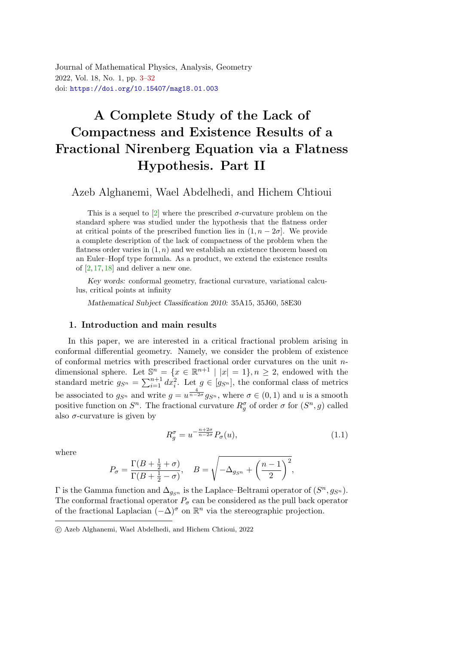<span id="page-0-0"></span>Journal of Mathematical Physics, Analysis, Geometry 2022, Vol. 18, No. 1, pp. [3](#page-0-0)[–32](#page-29-0) doi: <https://doi.org/10.15407/mag18.01.003>

# A Complete Study of the Lack of Compactness and Existence Results of a Fractional Nirenberg Equation via a Flatness Hypothesis. Part I[I](#page-0-1)

Azeb Alghanemi, Wael Abdelhedi, and Hichem Chtioui

This is a sequel to [\[2\]](#page-27-0) where the prescribed  $\sigma$ -curvature problem on the standard sphere was studied under the hypothesis that the flatness order at critical points of the prescribed function lies in  $(1, n - 2\sigma)$ . We provide a complete description of the lack of compactness of the problem when the flatness order varies in  $(1, n)$  and we establish an existence theorem based on an Euler–Hopf type formula. As a product, we extend the existence results of  $[2, 17, 18]$  $[2, 17, 18]$  $[2, 17, 18]$  $[2, 17, 18]$  and deliver a new one.

Key words: conformal geometry, fractional curvature, variational calculus, critical points at infinity

Mathematical Subject Classification 2010: 35A15, 35J60, 58E30

## 1. Introduction and main results

In this paper, we are interested in a critical fractional problem arising in conformal differential geometry. Namely, we consider the problem of existence of conformal metrics with prescribed fractional order curvatures on the unit  $n$ dimensional sphere. Let  $\mathbb{S}^n = \{x \in \mathbb{R}^{n+1} \mid |x| = 1\}, n \geq 2$ , endowed with the standard metric  $g_{S^n} = \sum_{i=1}^{n+1} dx_i^2$ . Let  $g \in [g_{S^n}]$ , the conformal class of metrics be associated to  $g_{S^n}$  and write  $g = u^{\frac{4}{n-2\sigma}} g_{S^n}$ , where  $\sigma \in (0,1)$  and u is a smooth positive function on  $S<sup>n</sup>$ . The fractional curvature  $R_g^{\sigma}$  of order  $\sigma$  for  $(S<sup>n</sup>, g)$  called also  $\sigma$ -curvature is given by

<span id="page-0-2"></span>
$$
R_g^{\sigma} = u^{-\frac{n+2\sigma}{n-2\sigma}} P_{\sigma}(u), \tag{1.1}
$$

where

$$
P_{\sigma} = \frac{\Gamma(B + \frac{1}{2} + \sigma)}{\Gamma(B + \frac{1}{2} - \sigma)}, \quad B = \sqrt{-\Delta_{g_{S^n}} + \left(\frac{n-1}{2}\right)^2},
$$

 $\Gamma$  is the Gamma function and  $\Delta_{g_{S^n}}$  is the Laplace–Beltrami operator of  $(S^n, g_{S^n})$ . The conformal fractional operator  $P_{\sigma}$  can be considered as the pull back operator of the fractional Laplacian  $(-\Delta)^{\sigma}$  on  $\mathbb{R}^{n}$  via the stereographic projection.

<span id="page-0-1"></span>c Azeb Alghanemi, Wael Abdelhedi, and Hichem Chtioui, 2022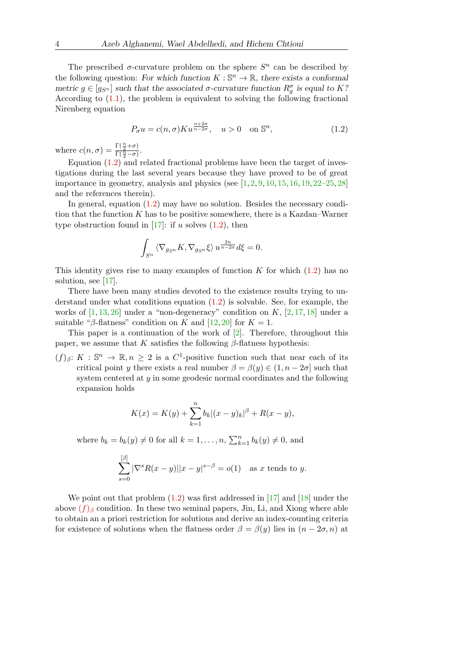The prescribed  $\sigma$ -curvature problem on the sphere  $S<sup>n</sup>$  can be described by the following question: For which function  $K: \mathbb{S}^n \to \mathbb{R}$ , there exists a conformal metric  $g \in [g_{S^n}]$  such that the associated  $\sigma$ -curvature function  $R_g^{\sigma}$  is equal to K? According to  $(1.1)$ , the problem is equivalent to solving the following fractional Nirenberg equation

<span id="page-1-0"></span>
$$
P_{\sigma}u = c(n, \sigma)Ku^{\frac{n+2\sigma}{n-2\sigma}}, \quad u > 0 \quad \text{on } \mathbb{S}^n,
$$
 (1.2)

where  $c(n, \sigma) = \frac{\Gamma(\frac{n}{2} + \sigma)}{\Gamma(\frac{n}{2} - \sigma)}$ .

Equation  $(1.2)$  and related fractional problems have been the target of investigations during the last several years because they have proved to be of great importance in geometry, analysis and physics (see  $[1, 2, 9, 10, 15, 16, 19, 22-25, 28]$  $[1, 2, 9, 10, 15, 16, 19, 22-25, 28]$  $[1, 2, 9, 10, 15, 16, 19, 22-25, 28]$  $[1, 2, 9, 10, 15, 16, 19, 22-25, 28]$  $[1, 2, 9, 10, 15, 16, 19, 22-25, 28]$  $[1, 2, 9, 10, 15, 16, 19, 22-25, 28]$  $[1, 2, 9, 10, 15, 16, 19, 22-25, 28]$  $[1, 2, 9, 10, 15, 16, 19, 22-25, 28]$  $[1, 2, 9, 10, 15, 16, 19, 22-25, 28]$  $[1, 2, 9, 10, 15, 16, 19, 22-25, 28]$  $[1, 2, 9, 10, 15, 16, 19, 22-25, 28]$  $[1, 2, 9, 10, 15, 16, 19, 22-25, 28]$  $[1, 2, 9, 10, 15, 16, 19, 22-25, 28]$  $[1, 2, 9, 10, 15, 16, 19, 22-25, 28]$  $[1, 2, 9, 10, 15, 16, 19, 22-25, 28]$  $[1, 2, 9, 10, 15, 16, 19, 22-25, 28]$ ) and the references therein).

In general, equation [\(1.2\)](#page-1-0) may have no solution. Besides the necessary condition that the function K has to be positive somewhere, there is a Kazdan–Warner type obstruction found in [\[17\]](#page-28-0): if u solves  $(1.2)$ , then

$$
\int_{S^n} \langle \nabla_{g_{S^n}} K, \nabla_{g_{S^n}} \xi \rangle u^{\frac{2n}{n-2\sigma}} d\xi = 0.
$$

This identity gives rise to many examples of function K for which  $(1.2)$  has no solution, see [\[17\]](#page-28-0).

There have been many studies devoted to the existence results trying to understand under what conditions equation [\(1.2\)](#page-1-0) is solvable. See, for example, the works of  $[1, 13, 26]$  $[1, 13, 26]$  $[1, 13, 26]$  $[1, 13, 26]$  under a "non-degeneracy" condition on K,  $[2, 17, 18]$  $[2, 17, 18]$  $[2, 17, 18]$  $[2, 17, 18]$  under a suitable "β-flatness" condition on K and [\[12,](#page-28-9) [20\]](#page-28-10) for  $K = 1$ .

This paper is a continuation of the work of [\[2\]](#page-27-0). Therefore, throughout this paper, we assume that K satisfies the following  $\beta$ -flatness hypothesis:

<span id="page-1-1"></span> $(f)_{\beta}: K : \mathbb{S}^n \to \mathbb{R}, n \geq 2$  is a  $C^1$ -positive function such that near each of its critical point y there exists a real number  $\beta = \beta(y) \in (1, n - 2\sigma]$  such that system centered at  $\gamma$  in some geodesic normal coordinates and the following expansion holds

$$
K(x) = K(y) + \sum_{k=1}^{n} b_k |(x - y)_k|^{\beta} + R(x - y),
$$

where  $b_k = b_k(y) \neq 0$  for all  $k = 1, ..., n$ ,  $\sum_{k=1}^{n} b_k(y) \neq 0$ , and

$$
\sum_{s=0}^{[\beta]} |\nabla^s R(x-y)||x-y|^{s-\beta} = o(1) \quad \text{as } x \text{ tends to } y.
$$

We point out that problem  $(1.2)$  was first addressed in  $[17]$  and  $[18]$  under the above  $(f)$  $(f)$  $(f)$ <sub>β</sub> condition. In these two seminal papers, Jin, Li, and Xiong where able to obtain an a priori restriction for solutions and derive an index-counting criteria for existence of solutions when the flatness order  $\beta = \beta(y)$  lies in  $(n - 2\sigma, n)$  at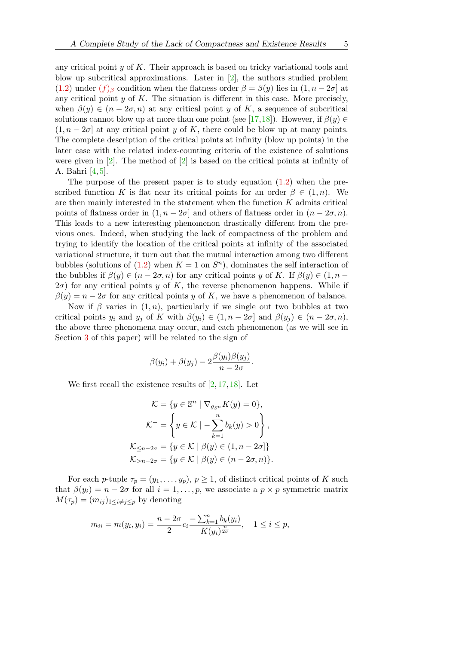any critical point  $y$  of  $K$ . Their approach is based on tricky variational tools and blow up subcritical approximations. Later in [\[2\]](#page-27-0), the authors studied problem [\(1.2\)](#page-1-0) under  $(f)_{\beta}$  $(f)_{\beta}$  $(f)_{\beta}$  condition when the flatness order  $\beta = \beta(y)$  lies in  $(1, n - 2\sigma]$  at any critical point  $y$  of  $K$ . The situation is different in this case. More precisely, when  $\beta(y) \in (n-2\sigma, n)$  at any critical point y of K, a sequence of subcritical solutions cannot blow up at more than one point (see [\[17,](#page-28-0)[18\]](#page-28-1)). However, if  $\beta(y) \in$  $(1, n - 2\sigma]$  at any critical point y of K, there could be blow up at many points. The complete description of the critical points at infinity (blow up points) in the later case with the related index-counting criteria of the existence of solutions were given in  $[2]$ . The method of  $[2]$  is based on the critical points at infinity of A. Bahri [\[4,](#page-27-2) [5\]](#page-28-11).

The purpose of the present paper is to study equation  $(1.2)$  when the prescribed function K is flat near its critical points for an order  $\beta \in (1, n)$ . We are then mainly interested in the statement when the function  $K$  admits critical points of flatness order in  $(1, n - 2\sigma]$  and others of flatness order in  $(n - 2\sigma, n)$ . This leads to a new interesting phenomenon drastically different from the previous ones. Indeed, when studying the lack of compactness of the problem and trying to identify the location of the critical points at infinity of the associated variational structure, it turn out that the mutual interaction among two different bubbles (solutions of  $(1.2)$  when  $K = 1$  on  $S<sup>n</sup>$ ), dominates the self interaction of the bubbles if  $\beta(y) \in (n - 2\sigma, n)$  for any critical points y of K. If  $\beta(y) \in (1, n - 1)$  $2\sigma$ ) for any critical points y of K, the reverse phenomenon happens. While if  $\beta(y) = n - 2\sigma$  for any critical points y of K, we have a phenomenon of balance.

Now if  $\beta$  varies in  $(1, n)$ , particularly if we single out two bubbles at two critical points  $y_i$  and  $y_j$  of K with  $\beta(y_i) \in (1, n-2\sigma]$  and  $\beta(y_j) \in (n-2\sigma, n)$ , the above three phenomena may occur, and each phenomenon (as we will see in Section [3](#page-7-0) of this paper) will be related to the sign of

$$
\beta(y_i) + \beta(y_j) - 2\frac{\beta(y_i)\beta(y_j)}{n-2\sigma}.
$$

We first recall the existence results of  $[2, 17, 18]$  $[2, 17, 18]$  $[2, 17, 18]$  $[2, 17, 18]$ . Let

$$
\mathcal{K} = \{ y \in \mathbb{S}^n \mid \nabla_{g_{S^n}} K(y) = 0 \},
$$
  

$$
\mathcal{K}^+ = \left\{ y \in \mathcal{K} \mid -\sum_{k=1}^n b_k(y) > 0 \right\},
$$
  

$$
\mathcal{K}_{\leq n-2\sigma} = \{ y \in \mathcal{K} \mid \beta(y) \in (1, n-2\sigma] \}
$$
  

$$
\mathcal{K}_{>n-2\sigma} = \{ y \in \mathcal{K} \mid \beta(y) \in (n-2\sigma, n) \}.
$$

For each p-tuple  $\tau_p = (y_1, \ldots, y_p), p \ge 1$ , of distinct critical points of K such that  $\beta(y_i) = n - 2\sigma$  for all  $i = 1, \ldots, p$ , we associate a  $p \times p$  symmetric matrix  $M(\tau_p) = (m_{ij})_{1 \leq i \neq j \leq p}$  by denoting

$$
m_{ii} = m(y_i, y_i) = \frac{n - 2\sigma}{2} c_i \frac{-\sum_{k=1}^n b_k(y_i)}{K(y_i)^{\frac{n}{2\sigma}}}, \quad 1 \le i \le p,
$$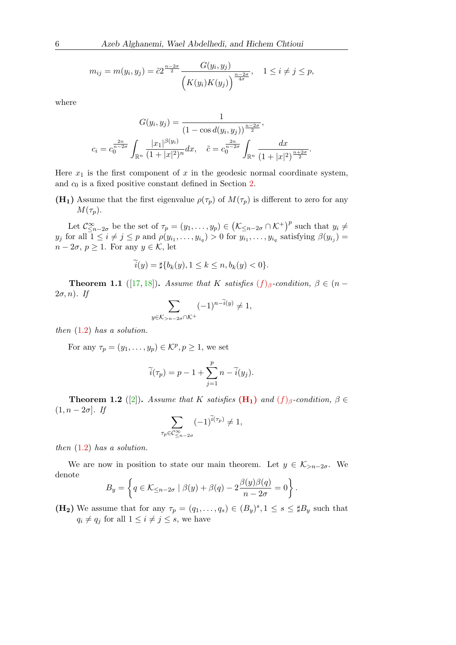$$
m_{ij} = m(y_i, y_j) = \tilde{c} 2^{\frac{n-2\sigma}{2}} \frac{G(y_i, y_j)}{\left(K(y_i)K(y_j)\right)^{\frac{n-2\sigma}{4\sigma}}}, \quad 1 \le i \ne j \le p,
$$

where

$$
G(y_i, y_j) = \frac{1}{(1 - \cos d(y_i, y_j))^{\frac{n - 2\sigma}{2}}},
$$
  

$$
c_i = c_0^{\frac{2n}{n - 2\sigma}} \int_{\mathbb{R}^n} \frac{|x_1|^{\beta(y_i)}}{(1 + |x|^2)^n} dx, \quad \tilde{c} = c_0^{\frac{2n}{n - 2\sigma}} \int_{\mathbb{R}^n} \frac{dx}{(1 + |x|^2)^{\frac{n + 2\sigma}{2}}}.
$$

Here  $x_1$  is the first component of x in the geodesic normal coordinate system, and  $c_0$  is a fixed positive constant defined in Section [2.](#page-4-0)

<span id="page-3-0"></span>(H<sub>1</sub>) Assume that the first eigenvalue  $\rho(\tau_p)$  of  $M(\tau_p)$  is different to zero for any  $M(\tau_p)$ .

Let  $\mathcal{C}^{\infty}_{\leq n-2\sigma}$  be the set of  $\tau_p = (y_1, \ldots, y_p) \in (\mathcal{K}_{\leq n-2\sigma} \cap \mathcal{K}^+)^p$  such that  $y_i \neq$  $y_j$  for all  $1 \leq i \neq j \leq p$  and  $\rho(y_{i_1}, \ldots, y_{i_q}) > 0$  for  $y_{i_1}, \ldots, y_{i_q}$  satisfying  $\beta(y_{i_j}) =$  $n - 2\sigma$ ,  $p \geq 1$ . For any  $y \in \mathcal{K}$ , let

$$
\tilde{i}(y) = \sharp{b_k(y), 1 \le k \le n, b_k(y) < 0}.
$$

**Theorem 1.1** ([\[17,](#page-28-0) [18\]](#page-28-1)). Assume that K satis[f](#page-1-1)ies  $(f)_{\beta}$ -condition,  $\beta \in (n - 1]$  $2\sigma$ , *n*). If

$$
\sum_{y \in \mathcal{K}_{>n-2\sigma} \cap \mathcal{K}^+} (-1)^{n-\tilde{i}(y)} \neq 1,
$$

then  $(1.2)$  has a solution.

For any  $\tau_p = (y_1, \ldots, y_p) \in \mathcal{K}^p, p \geq 1$ , we set

 $\tau_p$ 

$$
\widetilde{i}(\tau_p) = p - 1 + \sum_{j=1}^p n - \widetilde{i}(y_j).
$$

**Theorem 1.2** ([\[2\]](#page-27-0)). Assume that K satis[f](#page-1-1)ies  $(H_1)$  $(H_1)$  and  $(f)_{\beta}$ -condition,  $\beta \in$  $(1, n - 2\sigma)$ . If

$$
\sum_{\in \mathcal{C}^{\infty}_{\leq n-2\sigma}} (-1)^{\widetilde{i}(\tau_p)} \neq 1,
$$

then  $(1.2)$  has a solution.

We are now in position to state our main theorem. Let  $y \in \mathcal{K}_{\geq n-2\sigma}$ . We denote

$$
B_y = \left\{ q \in \mathcal{K}_{\leq n-2\sigma} \mid \beta(y) + \beta(q) - 2\frac{\beta(y)\beta(q)}{n-2\sigma} = 0 \right\}.
$$

<span id="page-3-1"></span>(H<sub>2</sub>) We assume that for any  $\tau_p = (q_1, \ldots, q_s) \in (B_y)^s, 1 \leq s \leq \sharp B_y$  such that  $q_i \neq q_j$  for all  $1 \leq i \neq j \leq s$ , we have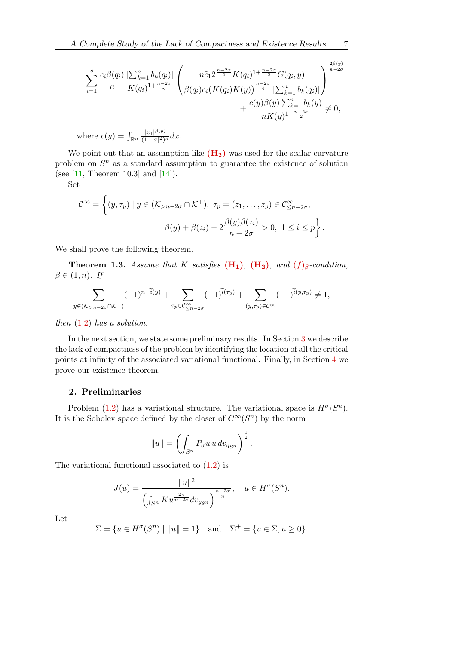$$
\sum_{i=1}^{s} \frac{c_i \beta(q_i)}{n} \frac{\left|\sum_{k=1}^{n} b_k(q_i)\right|}{K(q_i)^{1+\frac{n-2\sigma}{n}}} \left( \frac{n \tilde{c}_1 2^{\frac{n-2\sigma}{2}} K(q_i)^{1+\frac{n-2\sigma}{2}} G(q_i, y)}{\beta(q_i) c_i (K(q_i) K(y))^{\frac{n-2\sigma}{4}} \left|\sum_{k=1}^{n} b_k(q_i)\right|} \right)^{\frac{2\beta(y)}{n-2\sigma}} + \frac{c(y) \beta(y) \sum_{k=1}^{n} b_k(y)}{n K(y)^{1+\frac{n-2\sigma}{2}}} \neq 0,
$$

where  $c(y) = \int_{\mathbb{R}^n} \frac{|x_1|^{\beta(y)}}{(1+|x|^2)}$  $\frac{|x_1|^{r(s)}}{(1+|x|^2)^n}dx.$ 

We point out that an assumption like  $(H_2)$  $(H_2)$  was used for the scalar curvature problem on  $S<sup>n</sup>$  as a standard assumption to guarantee the existence of solution (see [\[11,](#page-28-12) Theorem 10.3] and [\[14\]](#page-28-13)).

Set

$$
\mathcal{C}^{\infty} = \left\{ (y, \tau_p) \mid y \in (\mathcal{K}_{>n-2\sigma} \cap \mathcal{K}^+), \ \tau_p = (z_1, \dots, z_p) \in \mathcal{C}^{\infty}_{\leq n-2\sigma},
$$

$$
\beta(y) + \beta(z_i) - 2\frac{\beta(y)\beta(z_i)}{n-2\sigma} > 0, \ 1 \leq i \leq p \right\}.
$$

We shall prove the following theorem.

<span id="page-4-1"></span>**Theorem 1.3.** Assume that K satis[f](#page-1-1)ies  $(H_1)$  $(H_1)$ ,  $(H_2)$ , and  $(f)_{\beta}$ -condition,  $\beta \in (1, n)$ . If

$$
\sum_{y \in (\mathcal{K}_{>n-2\sigma} \cap \mathcal{K}^+)} (-1)^{n-\widetilde{i}(y)} + \sum_{\tau_p \in \mathcal{C}^{\infty}_{\leq n-2\sigma}} (-1)^{\widetilde{i}(\tau_p)} + \sum_{(y,\tau_p) \in \mathcal{C}^{\infty}} (-1)^{\widetilde{i}(y,\tau_p)} \neq 1,
$$

then  $(1.2)$  has a solution.

In the next section, we state some preliminary results. In Section [3](#page-7-0) we describe the lack of compactness of the problem by identifying the location of all the critical points at infinity of the associated variational functional. Finally, in Section [4](#page-26-0) we prove our existence theorem.

# <span id="page-4-0"></span>2. Preliminaries

Problem [\(1.2\)](#page-1-0) has a variational structure. The variational space is  $H^{\sigma}(S^n)$ . It is the Sobolev space defined by the closer of  $C^{\infty}(S^n)$  by the norm

$$
||u|| = \left(\int_{S^n} P_{\sigma} u u \, dv_{g_{S^n}}\right)^{\frac{1}{2}}.
$$

The variational functional associated to [\(1.2\)](#page-1-0) is

$$
J(u) = \frac{\|u\|^2}{\left(\int_{S^n} Ku^{\frac{2n}{n-2\sigma}} dv_{g_{S^n}}\right)^{\frac{n-2\sigma}{n}}}, \quad u \in H^{\sigma}(S^n).
$$

Let

$$
\Sigma = \{ u \in H^{\sigma}(S^n) \mid ||u|| = 1 \} \text{ and } \Sigma^+ = \{ u \in \Sigma, u \ge 0 \}.
$$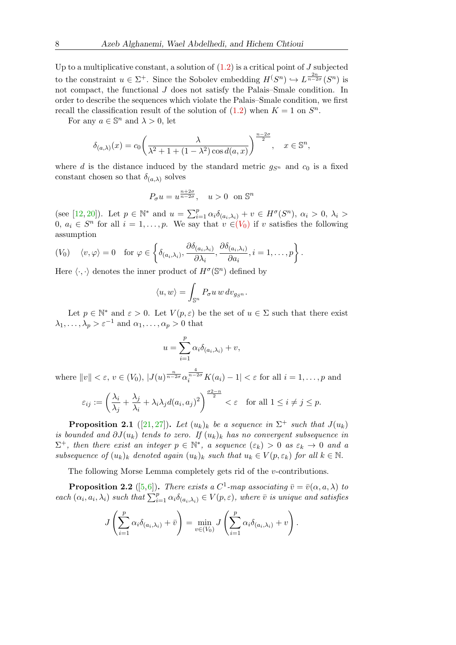Up to a multiplicative constant, a solution of  $(1.2)$  is a critical point of J subjected to the constraint  $u \in \Sigma^+$ . Since the Sobolev embedding  $H(S^n) \hookrightarrow L^{\frac{2n}{n-2\sigma}}(S^n)$  is not compact, the functional J does not satisfy the Palais–Smale condition. In order to describe the sequences which violate the Palais–Smale condition, we first recall the classification result of the solution of  $(1.2)$  when  $K = 1$  on  $S<sup>n</sup>$ .

For any  $a \in \mathbb{S}^n$  and  $\lambda > 0$ , let

$$
\delta_{(a,\lambda)}(x) = c_0 \left( \frac{\lambda}{\lambda^2 + 1 + (1 - \lambda^2) \cos d(a, x)} \right)^{\frac{n-2\sigma}{2}}, \quad x \in \mathbb{S}^n,
$$

where d is the distance induced by the standard metric  $g_{S<sup>n</sup>}$  and  $c_0$  is a fixed constant chosen so that  $\delta_{(a,\lambda)}$  solves

$$
P_{\sigma}u = u^{\frac{n+2\sigma}{n-2\sigma}}, \quad u > 0 \text{ on } \mathbb{S}^n
$$

(see [\[12,](#page-28-9) [20\]](#page-28-10)). Let  $p \in \mathbb{N}^*$  and  $u = \sum_{i=1}^p \alpha_i \delta_{(a_i,\lambda_i)} + v \in H^{\sigma}(S^n)$ ,  $\alpha_i > 0$ ,  $\lambda_i >$ 0,  $a_i \in S^n$  for all  $i = 1, \ldots, p$ . We say that  $v \in (V_0)$  $v \in (V_0)$  $v \in (V_0)$  if v satisfies the following assumption

<span id="page-5-0"></span>
$$
(V_0) \quad \langle v, \varphi \rangle = 0 \quad \text{for } \varphi \in \left\{ \delta_{(a_i, \lambda_i)}, \frac{\partial \delta_{(a_i, \lambda_i)}}{\partial \lambda_i}, \frac{\partial \delta_{(a_i, \lambda_i)}}{\partial a_i}, i = 1, \dots, p \right\}.
$$

Here  $\langle \cdot, \cdot \rangle$  denotes the inner product of  $H^{\sigma}(\mathbb{S}^n)$  defined by

$$
\langle u, w \rangle = \int_{\mathbb{S}^n} P_{\sigma} u w \, dv_{g_{S^n}}.
$$

Let  $p \in \mathbb{N}^*$  and  $\varepsilon > 0$ . Let  $V(p, \varepsilon)$  be the set of  $u \in \Sigma$  such that there exist  $\lambda_1, \ldots, \lambda_p > \varepsilon^{-1}$  and  $\alpha_1, \ldots, \alpha_p > 0$  that

$$
u = \sum_{i=1}^{p} \alpha_i \delta_{(a_i,\lambda_i)} + v,
$$

where  $||v|| < \varepsilon$ ,  $v \in (V_0)$ ,  $|J(u)^{\frac{n}{n-2\sigma}} \alpha_i^{\frac{4}{n-2\sigma}} K(a_i) - 1| < \varepsilon$  for all  $i = 1, \ldots, p$  and

$$
\varepsilon_{ij} := \left(\frac{\lambda_i}{\lambda_j} + \frac{\lambda_j}{\lambda_i} + \lambda_i \lambda_j d(a_i, a_j)^2\right)^{\frac{\sigma 2 - n}{2}} < \varepsilon \quad \text{for all } 1 \le i \ne j \le p.
$$

<span id="page-5-1"></span>**Proposition 2.1** ([\[21,](#page-28-14) [27\]](#page-29-4)). Let  $(u_k)_k$  be a sequence in  $\Sigma^+$  such that  $J(u_k)$ is bounded and  $\partial J(u_k)$  tends to zero. If  $(u_k)_k$  has no convergent subsequence in  $\Sigma^+$ , then there exist an integer  $p \in \mathbb{N}^*$ , a sequence  $(\varepsilon_k) > 0$  as  $\varepsilon_k \to 0$  and a subsequence of  $(u_k)_k$  denoted again  $(u_k)_k$  such that  $u_k \in V(p, \varepsilon_k)$  for all  $k \in \mathbb{N}$ .

The following Morse Lemma completely gets rid of the v-contributions.

<span id="page-5-2"></span>**Proposition 2.2** ([\[5,](#page-28-11)[6\]](#page-28-15)). There exists a  $C^1$ -map associating  $\bar{v} = \bar{v}(\alpha, a, \lambda)$  to each  $(\alpha_i, a_i, \lambda_i)$  such that  $\sum_{i=1}^p \alpha_i \delta_{(a_i, \lambda_i)} \in V(p, \varepsilon)$ , where  $\overline{v}$  is unique and satisfies

$$
J\left(\sum_{i=1}^p \alpha_i \delta_{(a_i,\lambda_i)} + \bar{v}\right) = \min_{v \in (V_0)} J\left(\sum_{i=1}^p \alpha_i \delta_{(a_i,\lambda_i)} + v\right).
$$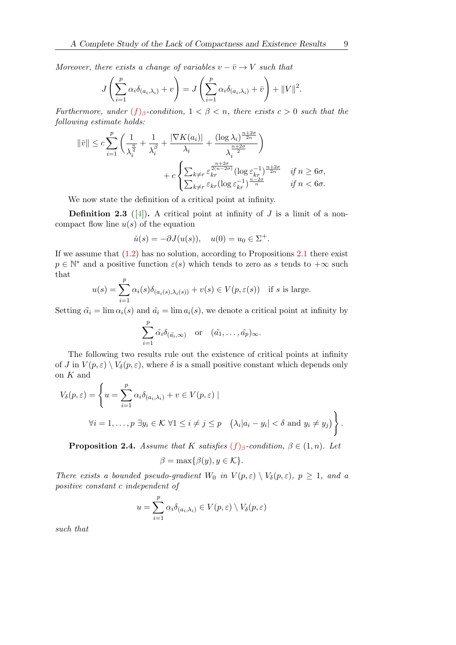Moreover, there exists a change of variables  $v - \overline{v} \rightarrow V$  such that

$$
J\left(\sum_{i=1}^p \alpha_i \delta_{(a_i,\lambda_i)} + v\right) = J\left(\sum_{i=1}^p \alpha_i \delta_{(a_i,\lambda_i)} + \bar{v}\right) + ||V||^2.
$$

Furthermore, under  $(f)_{\beta}$  $(f)_{\beta}$  $(f)_{\beta}$ -condition,  $1 < \beta < n$ , there exists  $c > 0$  such that the following estimate holds:

$$
\|\bar{v}\| \leq c \sum_{i=1}^{p} \left( \frac{1}{\lambda_i^{\frac{n}{2}}} + \frac{1}{\lambda_i^{\beta}} + \frac{|\nabla K(a_i)|}{\lambda_i} + \frac{(\log \lambda_i)^{\frac{n+2\sigma}{2n}}}{\lambda_i^{\frac{n+2\sigma}{2}}} \right) + c \left\{ \sum_{k \neq r} \frac{\frac{n+2\sigma}{2(n-2\sigma)}}{\epsilon_{kr}^{n-2\sigma}} (\log \varepsilon_{kr}^{-1})^{\frac{n+2\sigma}{2n}} \quad \text{if } n \geq 6\sigma, \\ \sum_{k \neq r} \varepsilon_{kr} (\log \varepsilon_{kr}^{-1})^{\frac{n-2\sigma}{n}} \quad \text{if } n < 6\sigma.
$$

We now state the definition of a critical point at infinity.

**Definition 2.3** ([\[4\]](#page-27-2)). A critical point at infinity of J is a limit of a noncompact flow line  $u(s)$  of the equation

$$
\dot{u}(s) = -\partial J(u(s)), \quad u(0) = u_0 \in \Sigma^+.
$$

If we assume that  $(1.2)$  has no solution, according to Propositions [2.1](#page-5-1) there exist  $p \in \mathbb{N}^*$  and a positive function  $\varepsilon(s)$  which tends to zero as s tends to  $+\infty$  such that p

$$
u(s) = \sum_{i=1}^{P} \alpha_i(s)\delta_{(a_i(s),\lambda_i(s))} + v(s) \in V(p,\varepsilon(s)) \text{ if } s \text{ is large.}
$$

Setting  $\tilde{\alpha}_i = \lim \alpha_i(s)$  and  $\tilde{\alpha}_i = \lim \alpha_i(s)$ , we denote a critical point at infinity by

$$
\sum_{i=1}^p \tilde{\alpha}_i \delta_{(\tilde{a}_i,\infty)} \quad \text{or} \quad (\tilde{a}_1,\ldots,\tilde{a}_p)_{\infty}.
$$

The following two results rule out the existence of critical points at infinity of J in  $V(p,\varepsilon) \setminus V_\delta(p,\varepsilon)$ , where  $\delta$  is a small positive constant which depends only on K and

$$
V_{\delta}(p, \varepsilon) = \left\{ u = \sum_{i=1}^{p} \alpha_{i} \delta_{(a_{i}, \lambda_{i})} + v \in V(p, \varepsilon) \mid
$$
  

$$
\forall i = 1, \dots, p \exists y_{i} \in \mathcal{K} \ \forall 1 \leq i \neq j \leq p \quad (\lambda_{i} | a_{i} - y_{i}| < \delta \text{ and } y_{i} \neq y_{j}) \right\}.
$$

<span id="page-6-0"></span>**Proposition 2.4.** Assume that K satis[f](#page-1-1)ies  $(f)_{\beta}$ -condition,  $\beta \in (1, n)$ . Let

$$
\beta = \max\{\beta(y), y \in \mathcal{K}\}.
$$

There exists a bounded pseudo-gradient  $W_0$  in  $V(p,\varepsilon) \setminus V_\delta(p,\varepsilon)$ ,  $p \geq 1$ , and a positive constant c independent of

$$
u = \sum_{i=1}^{p} \alpha_i \delta_{(a_i,\lambda_i)} \in V(p,\varepsilon) \setminus V_{\delta}(p,\varepsilon)
$$

such that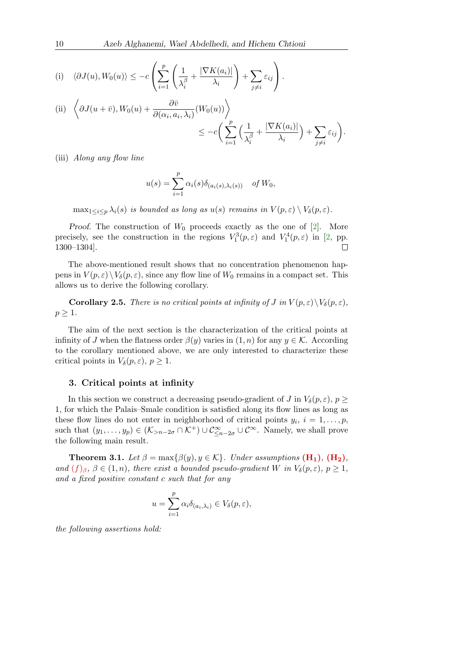(i) 
$$
\langle \partial J(u), W_0(u) \rangle \le -c \left( \sum_{i=1}^p \left( \frac{1}{\lambda_i^{\beta}} + \frac{|\nabla K(a_i)|}{\lambda_i} \right) + \sum_{j \neq i} \varepsilon_{ij} \right).
$$

(ii) 
$$
\left\langle \partial J(u+\bar{v}), W_0(u) + \frac{\partial \bar{v}}{\partial(\alpha_i, a_i, \lambda_i)} (W_0(u)) \right\rangle
$$
  

$$
\leq -c \left( \sum_{i=1}^p \left( \frac{1}{\lambda_i^{\beta}} + \frac{|\nabla K(a_i)|}{\lambda_i} \right) + \sum_{j \neq i} \varepsilon_{ij} \right).
$$

(iii) Along any flow line

$$
u(s) = \sum_{i=1}^{p} \alpha_i(s) \delta_{(a_i(s), \lambda_i(s))} \quad \text{of } W_0,
$$

 $\max_{1 \leq i \leq p} \lambda_i(s)$  is bounded as long as  $u(s)$  remains in  $V(p, \varepsilon) \setminus V_\delta(p, \varepsilon)$ .

Proof. The construction of  $W_0$  proceeds exactly as the one of [\[2\]](#page-27-0). More precisely, see the construction in the regions  $V_1^3(p,\varepsilon)$  and  $V_1^4(p,\varepsilon)$  in [\[2,](#page-27-0) pp. 1300–1304].  $\Box$ 

The above-mentioned result shows that no concentration phenomenon happens in  $V(p,\varepsilon) \setminus V_\delta(p,\varepsilon)$ , since any flow line of  $W_0$  remains in a compact set. This allows us to derive the following corollary.

**Corollary 2.5.** There is no critical points at infinity of J in  $V(p, \varepsilon) \setminus V_\delta(p, \varepsilon)$ ,  $p \geq 1$ .

The aim of the next section is the characterization of the critical points at infinity of J when the flatness order  $\beta(y)$  varies in  $(1, n)$  for any  $y \in \mathcal{K}$ . According to the corollary mentioned above, we are only interested to characterize these critical points in  $V_{\delta}(p, \varepsilon), p \geq 1$ .

## <span id="page-7-0"></span>3. Critical points at infinity

In this section we construct a decreasing pseudo-gradient of J in  $V_{\delta}(p, \varepsilon), p \geq 0$ 1, for which the Palais–Smale condition is satisfied along its flow lines as long as these flow lines do not enter in neighborhood of critical points  $y_i$ ,  $i = 1, \ldots, p$ , such that  $(y_1, \ldots, y_p) \in (\mathcal{K}_{\geq n-2\sigma} \cap \mathcal{K}^+) \cup \mathcal{C}^{\infty}_{\leq n-2\sigma} \cup \mathcal{C}^{\infty}$ . Namely, we shall prove the following main result.

<span id="page-7-1"></span>**Theorem 3.1.** Let  $\beta = \max{\beta(y), y \in \mathcal{K}}$ . Under assumptions  $(\mathbf{H_1}), (\mathbf{H_2}),$ and  $(f)_{\beta}$  $(f)_{\beta}$  $(f)_{\beta}$ ,  $\beta \in (1, n)$ , there exist a bounded pseudo-gradient W in  $V_{\delta}(p, \varepsilon)$ ,  $p \geq 1$ , and a fixed positive constant c such that for any

$$
u = \sum_{i=1}^p \alpha_i \delta_{(a_i,\lambda_i)} \in V_\delta(p,\varepsilon),
$$

the following assertions hold: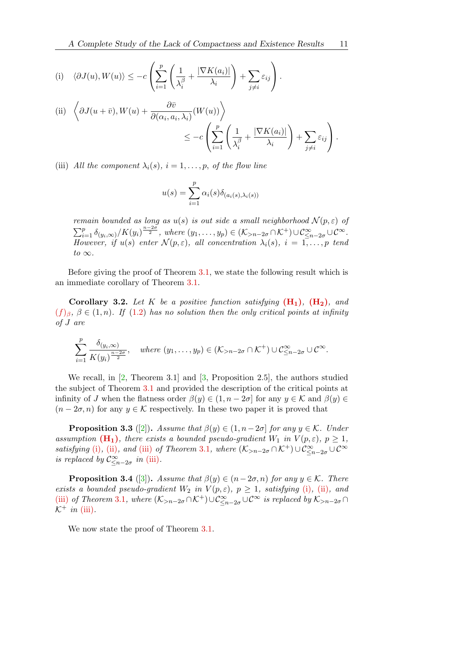<span id="page-8-0"></span>(i) 
$$
\langle \partial J(u), W(u) \rangle \leq -c \left( \sum_{i=1}^p \left( \frac{1}{\lambda_i^{\beta}} + \frac{|\nabla K(a_i)|}{\lambda_i} \right) + \sum_{j \neq i} \varepsilon_{ij} \right).
$$

<span id="page-8-1"></span>(ii) 
$$
\left\langle \partial J(u+\bar{v}), W(u) + \frac{\partial \bar{v}}{\partial(\alpha_i, a_i, \lambda_i)} (W(u)) \right\rangle
$$
  

$$
\leq -c \left( \sum_{i=1}^p \left( \frac{1}{\lambda_i^{\beta}} + \frac{|\nabla K(a_i)|}{\lambda_i} \right) + \sum_{j \neq i} \varepsilon_{ij} \right).
$$

<span id="page-8-2"></span>(iii) All the component  $\lambda_i(s)$ ,  $i = 1, \ldots, p$ , of the flow line

$$
u(s) = \sum_{i=1}^{p} \alpha_i(s)\delta_{(a_i(s),\lambda_i(s))}
$$

remain bounded as long as  $u(s)$  is out side a small neighborhood  $\mathcal{N}(p,\varepsilon)$  of  $\sum_{i=1}^p \delta_{(y_i,\infty)}/K(y_i)^{\frac{n-2\sigma}{2}}$ , where  $(y_1,\ldots,y_p) \in (\mathcal{K}_{>n-2\sigma}\cap \mathcal{K}^+) \cup \mathcal{C}^{\infty}_{\leq n-2\sigma} \cup \mathcal{C}^{\infty}$ . However, if  $u(s)$  enter  $\mathcal{N}(p,\varepsilon)$ , all concentration  $\lambda_i(s)$ ,  $i = 1,\ldots,p$  tend to  $\infty$ .

Before giving the proof of Theorem [3.1,](#page-7-1) we state the following result which is an immediate corollary of Theorem [3.1.](#page-7-1)

Corollary 3.2. Let K be a positive function satisfying  $(H_1)$  $(H_1)$ ,  $(H_2)$ , and  $(f)_{\beta}$  $(f)_{\beta}$  $(f)_{\beta}$ ,  $\beta \in (1, n)$ . If  $(1.2)$  has no solution then the only critical points at infinity of J are

$$
\sum_{i=1}^p \frac{\delta_{(y_i,\infty)}}{K(y_i)^{\frac{n-2\sigma}{2}}}, \quad \text{where } (y_1,\ldots,y_p) \in (\mathcal{K}_{>n-2\sigma} \cap \mathcal{K}^+) \cup \mathcal{C}^{\infty}_{\leq n-2\sigma} \cup \mathcal{C}^{\infty}.
$$

We recall, in  $[2,$  Theorem 3.1 and  $[3,$  Proposition 2.5, the authors studied the subject of Theorem [3.1](#page-7-1) and provided the description of the critical points at infinity of J when the flatness order  $\beta(y) \in (1, n-2\sigma]$  for any  $y \in \mathcal{K}$  and  $\beta(y) \in$  $(n-2\sigma,n)$  for any  $y \in \mathcal{K}$  respectively. In these two paper it is proved that

<span id="page-8-3"></span>**Proposition 3.3** ([\[2\]](#page-27-0)). Assume that  $\beta(y) \in (1, n-2\sigma]$  for any  $y \in \mathcal{K}$ . Under assumption  $(H_1)$  $(H_1)$ , there exists a bounded pseudo-gradient  $W_1$  in  $V(p, \varepsilon)$ ,  $p \geq 1$ , satisfying [\(i\)](#page-8-0), [\(ii\)](#page-8-1), and [\(iii\)](#page-8-2) of Theorem [3](#page-7-1).1, where  $(\mathcal{K}_{>n-2\sigma} \cap \mathcal{K}^+) \cup \mathcal{C}^{\infty}_{\leq n-2\sigma} \cup \mathcal{C}^{\infty}$ is replaced by  $\mathcal{C}^{\infty}_{\leq n-2\sigma}$  in [\(iii\)](#page-8-2).

<span id="page-8-4"></span>**Proposition 3.4** ([\[3\]](#page-27-3)). Assume that  $\beta(y) \in (n-2\sigma, n)$  for any  $y \in \mathcal{K}$ . There exists a bounded pseudo-gradient  $W_2$  in  $V(p, \varepsilon)$ ,  $p \ge 1$ , satisfying [\(i\)](#page-8-0), [\(ii\)](#page-8-1), and [\(iii\)](#page-8-2) of Theorem [3](#page-7-1).1, where  $(\mathcal{K}_{>n-2\sigma}\cap\mathcal{K}^+) \cup \mathcal{C}^{\infty}_{\leq n-2\sigma} \cup \mathcal{C}^{\infty}$  is replaced by  $\mathcal{K}_{>n-2\sigma}\cap$  $\mathcal{K}^+$  in [\(iii\)](#page-8-2).

We now state the proof of Theorem [3.1.](#page-7-1)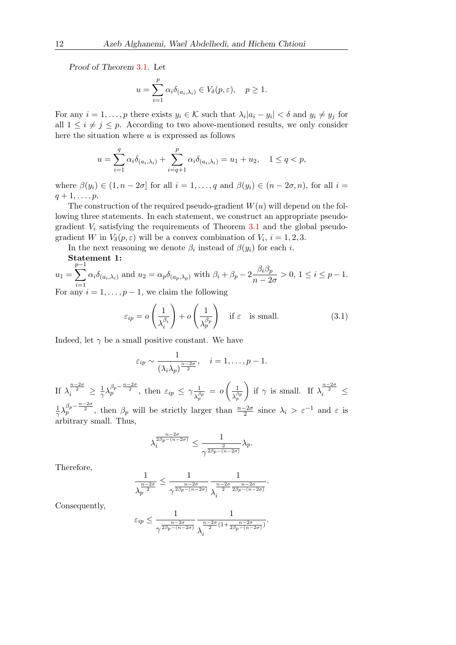Proof of Theorem [3](#page-7-1).1. Let

$$
u = \sum_{i=1}^p \alpha_i \delta_{(a_i,\lambda_i)} \in V_{\delta}(p,\varepsilon), \quad p \ge 1.
$$

For any  $i = 1, \ldots, p$  there exists  $y_i \in \mathcal{K}$  such that  $\lambda_i |a_i - y_i| < \delta$  and  $y_i \neq y_j$  for all  $1 \leq i \neq j \leq p$ . According to two above-mentioned results, we only consider here the situation where  $u$  is expressed as follows

$$
u = \sum_{i=1}^{q} \alpha_i \delta_{(a_i, \lambda_i)} + \sum_{i=q+1}^{p} \alpha_i \delta_{(a_i, \lambda_i)} = u_1 + u_2, \quad 1 \le q < p,
$$

where  $\beta(y_i) \in (1, n-2\sigma]$  for all  $i = 1, \ldots, q$  and  $\beta(y_i) \in (n-2\sigma, n)$ , for all  $i =$  $q+1,\ldots,p.$ 

The construction of the required pseudo-gradient  $W(u)$  will depend on the following three statements. In each statement, we construct an appropriate pseudogradient  $V_i$  satisfying the requirements of Theorem [3.1](#page-7-1) and the global pseudogradient W in  $V_{\delta}(p, \varepsilon)$  will be a convex combination of  $V_i$ ,  $i = 1, 2, 3$ .

In the next reasoning we denote  $\beta_i$  instead of  $\beta(y_i)$  for each i.

 ${\bf Statement~1:} \ \frac{p-1}{p-1}$ 

$$
u_1 = \sum_{i=1}^{p-1} \alpha_i \delta_{(a_i, \lambda_i)} \text{ and } u_2 = \alpha_p \delta_{(a_p, \lambda_p)} \text{ with } \beta_i + \beta_p - 2 \frac{\beta_i \beta_p}{n - 2\sigma} > 0, 1 \le i \le p-1.
$$
  
For any  $i = 1, ..., p-1$ , we claim the following

<span id="page-9-0"></span>
$$
\varepsilon_{ip} = o\left(\frac{1}{\lambda_i^{\beta_i}}\right) + o\left(\frac{1}{\lambda_p^{\beta_p}}\right) \quad \text{if } \varepsilon \quad \text{is small.} \tag{3.1}
$$

Indeed, let  $\gamma$  be a small positive constant. We have

$$
\varepsilon_{ip} \sim \frac{1}{(\lambda_i \lambda_p)^{\frac{n-2\sigma}{2}}}, \quad i = 1, \ldots, p-1.
$$

If  $\lambda_i^{\frac{n-2\sigma}{2}} \geq \frac{1}{\gamma}$  $\frac{1}{\gamma} \lambda_p^{\beta_p - \frac{n-2\sigma}{2}}$ , then  $\varepsilon_{ip} \leq \gamma \frac{1}{\lambda^{\beta}}$  $\frac{1}{\lambda_p^{\beta_p}} = o\left(\frac{1}{\lambda_p^{\beta_p}}\right)$  $\lambda_p^{\beta p}$ ) if  $\gamma$  is small. If  $\lambda_i^{\frac{n-2\sigma}{2}} \leq$ 1  $\frac{1}{\gamma} \lambda_p^{\beta_p - \frac{n-2\sigma}{2}}$ , then  $\beta_p$  will be strictly larger than  $\frac{n-2\sigma}{2}$  since  $\lambda_i > \varepsilon^{-1}$  and  $\varepsilon$  is arbitrary small. Thus,

$$
\lambda_i^{\frac{n-2\sigma}{2\beta_p-(n-2\sigma)}}\leq \frac{1}{\gamma^{\frac{2}{2\beta_p-(n-2\sigma)}}}\lambda_p.
$$

Therefore,

$$
\frac{1}{\lambda_p^{\frac{n-2\sigma}{2}}} \leq \frac{1}{\gamma^{\frac{n-2\sigma}{2\beta_p-(n-2\sigma)}}}\frac{1}{\lambda_i^{\frac{n-2\sigma}{2}\frac{n-2\sigma}{2\beta_p-(n-2\sigma)}}}.
$$

Consequently,

$$
\varepsilon_{ip} \leq \frac{1}{\gamma^{\frac{n-2\sigma}{2\beta_p - (n-2\sigma)}}}\frac{1}{\lambda_i^{\frac{n-2\sigma}{2}(1+\frac{n-2\sigma}{2\beta_p - (n-2\sigma)})}}.
$$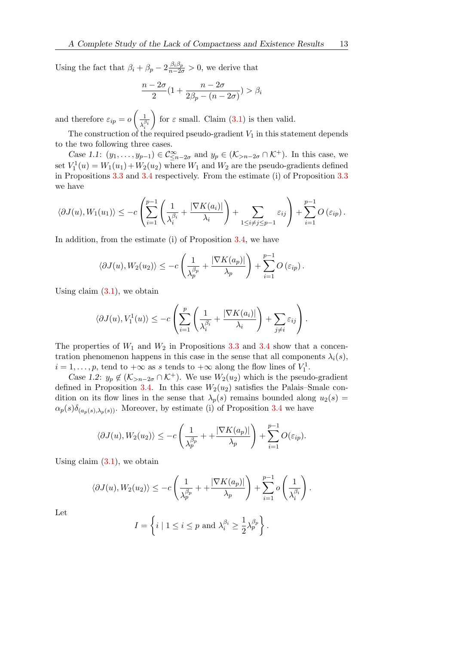Using the fact that  $\beta_i + \beta_p - 2 \frac{\beta_i \beta_p}{n - 2\sigma} > 0$ , we derive that

$$
\frac{n-2\sigma}{2}(1+\frac{n-2\sigma}{2\beta_p-(n-2\sigma)})>\beta_i
$$

and therefore  $\varepsilon_{ip} = o\left(\frac{1}{\sqrt{\beta}}\right)$  $\overline{\lambda_i^{\beta_i}}$ for  $\varepsilon$  small. Claim [\(3.1\)](#page-9-0) is then valid.

The construction of the required pseudo-gradient  $V_1$  in this statement depends to the two following three cases.

Case 1.1:  $(y_1, \ldots, y_{p-1}) \in C^{\infty}_{\leq n-2\sigma}$  and  $y_p \in (\mathcal{K}_{>n-2\sigma} \cap \mathcal{K}^+)$ . In this case, we set  $V_1^1(u) = W_1(u_1) + W_2(u_2)$  where  $W_1$  and  $W_2$  are the pseudo-gradients defined in Propositions [3.3](#page-8-3) and [3.4](#page-8-4) respectively. From the estimate (i) of Proposition [3.3](#page-8-3) we have

$$
\langle \partial J(u), W_1(u_1) \rangle \leq -c \left( \sum_{i=1}^{p-1} \left( \frac{1}{\lambda_i^{\beta_i}} + \frac{|\nabla K(a_i)|}{\lambda_i} \right) + \sum_{1 \leq i \neq j \leq p-1} \varepsilon_{ij} \right) + \sum_{i=1}^{p-1} O(\varepsilon_{ip}).
$$

In addition, from the estimate (i) of Proposition [3.4,](#page-8-4) we have

$$
\langle \partial J(u), W_2(u_2) \rangle \leq -c \left( \frac{1}{\lambda_p^{\beta_p}} + \frac{|\nabla K(a_p)|}{\lambda_p} \right) + \sum_{i=1}^{p-1} O\left(\varepsilon_{ip}\right).
$$

Using claim  $(3.1)$ , we obtain

$$
\langle \partial J(u), V_1^1(u) \rangle \le -c \left( \sum_{i=1}^p \left( \frac{1}{\lambda_i^{\beta_i}} + \frac{|\nabla K(a_i)|}{\lambda_i} \right) + \sum_{j \neq i} \varepsilon_{ij} \right).
$$

The properties of  $W_1$  and  $W_2$  in Propositions [3.3](#page-8-3) and [3.4](#page-8-4) show that a concentration phenomenon happens in this case in the sense that all components  $\lambda_i(s)$ ,  $i = 1, \ldots, p$ , tend to  $+\infty$  as s tends to  $+\infty$  along the flow lines of  $V_1^1$ .

Case 1.2:  $y_p \notin (\mathcal{K}_{\geq n-2\sigma} \cap \mathcal{K}^+)$ . We use  $W_2(u_2)$  which is the pseudo-gradient defined in Proposition [3.4.](#page-8-4) In this case  $W_2(u_2)$  satisfies the Palais–Smale condition on its flow lines in the sense that  $\lambda_p(s)$  remains bounded along  $u_2(s)$  =  $\alpha_p(s)\delta_{(a_p(s),\lambda_p(s))}$ . Moreover, by estimate (i) of Proposition [3.4](#page-8-4) we have

$$
\langle \partial J(u), W_2(u_2) \rangle \le -c \left( \frac{1}{\lambda_p^{\beta_p}} + \frac{|\nabla K(a_p)|}{\lambda_p} \right) + \sum_{i=1}^{p-1} O(\varepsilon_{ip}).
$$

Using claim  $(3.1)$ , we obtain

$$
\langle \partial J(u), W_2(u_2) \rangle \le -c \left( \frac{1}{\lambda_p^{\beta_p}} + \frac{|\nabla K(a_p)|}{\lambda_p} \right) + \sum_{i=1}^{p-1} o\left( \frac{1}{\lambda_i^{\beta_i}} \right).
$$

Let

$$
I = \left\{ i \mid 1 \le i \le p \text{ and } \lambda_i^{\beta_i} \ge \frac{1}{2} \lambda_p^{\beta_p} \right\}.
$$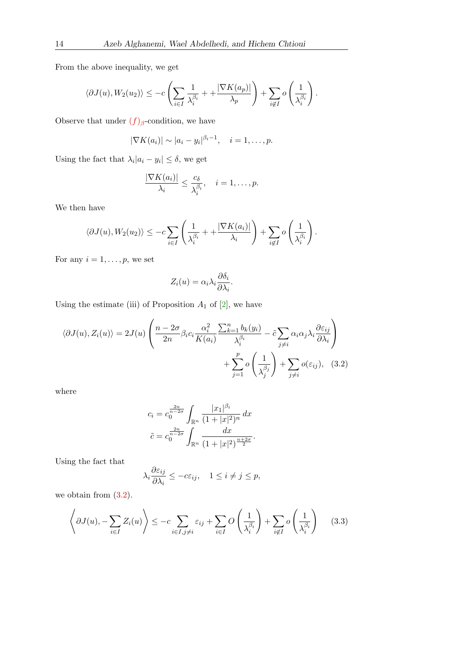From the above inequality, we get

$$
\langle \partial J(u), W_2(u_2) \rangle \le -c \left( \sum_{i \in I} \frac{1}{\lambda_i^{\beta_i}} + \frac{|\nabla K(a_p)|}{\lambda_p} \right) + \sum_{i \notin I} o \left( \frac{1}{\lambda_i^{\beta_i}} \right).
$$

Observe that under  $(f)_{\beta}$  $(f)_{\beta}$  $(f)_{\beta}$ -condition, we have

$$
|\nabla K(a_i)| \sim |a_i - y_i|^{\beta_i - 1}, \quad i = 1, \ldots, p.
$$

Using the fact that  $\lambda_i |a_i - y_i| \leq \delta$ , we get

$$
\frac{|\nabla K(a_i)|}{\lambda_i} \leq \frac{c_{\delta}}{\lambda_i^{\beta_i}}, \quad i = 1, \dots, p.
$$

We then have

$$
\langle \partial J(u), W_2(u_2) \rangle \le -c \sum_{i \in I} \left( \frac{1}{\lambda_i^{\beta_i}} + \frac{|\nabla K(a_i)|}{\lambda_i} \right) + \sum_{i \notin I} o\left( \frac{1}{\lambda_i^{\beta_i}} \right).
$$

For any  $i = 1, \ldots, p$ , we set

<span id="page-11-0"></span>
$$
Z_i(u) = \alpha_i \lambda_i \frac{\partial \delta_i}{\partial \lambda_i}.
$$

Using the estimate (iii) of Proposition  $A_1$  of [\[2\]](#page-27-0), we have

$$
\langle \partial J(u), Z_i(u) \rangle = 2J(u) \left( \frac{n - 2\sigma}{2n} \beta_i c_i \frac{\alpha_i^2}{K(a_i)} \frac{\sum_{k=1}^n b_k(y_i)}{\lambda_i^{\beta_i}} - \tilde{c} \sum_{j \neq i} \alpha_i \alpha_j \lambda_i \frac{\partial \varepsilon_{ij}}{\partial \lambda_i} \right) + \sum_{j=1}^p o\left(\frac{1}{\lambda_j^{\beta_j}}\right) + \sum_{j \neq i} o(\varepsilon_{ij}), \quad (3.2)
$$

where

$$
c_i = c_0^{\frac{2n}{n-2\sigma}} \int_{\mathbb{R}^n} \frac{|x_1|^{\beta_i}}{(1+|x|^2)^n} dx
$$

$$
\tilde{c} = c_0^{\frac{2n}{n-2\sigma}} \int_{\mathbb{R}^n} \frac{dx}{(1+|x|^2)^{\frac{n+2\sigma}{2}}}.
$$

Using the fact that

$$
\lambda_i \frac{\partial \varepsilon_{ij}}{\partial \lambda_i} \le -c\varepsilon_{ij}, \quad 1 \le i \ne j \le p,
$$

we obtain from  $(3.2)$ .

<span id="page-11-1"></span>
$$
\left\langle \partial J(u), -\sum_{i \in I} Z_i(u) \right\rangle \le -c \sum_{i \in I, j \neq i} \varepsilon_{ij} + \sum_{i \in I} O\left(\frac{1}{\lambda_i^{\beta_i}}\right) + \sum_{i \notin I} o\left(\frac{1}{\lambda_i^{\beta_i}}\right) \tag{3.3}
$$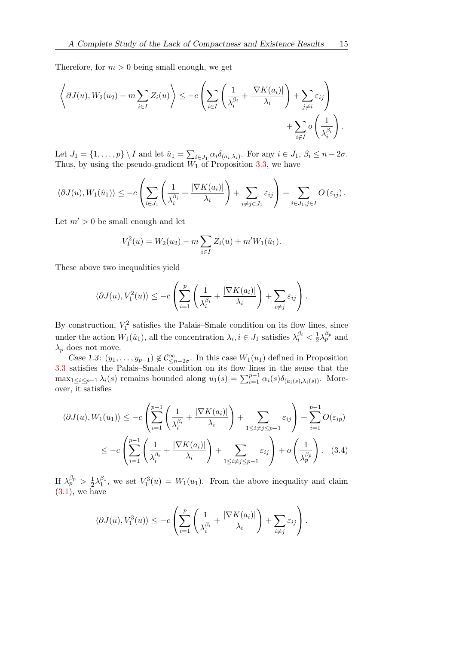Therefore, for  $m > 0$  being small enough, we get

$$
\left\langle \partial J(u), W_2(u_2) - m \sum_{i \in I} Z_i(u) \right\rangle \le -c \left( \sum_{i \in I} \left( \frac{1}{\lambda_i^{\beta_i}} + \frac{|\nabla K(a_i)|}{\lambda_i} \right) + \sum_{j \neq i} \varepsilon_{ij} \right) + \sum_{i \notin I} o \left( \frac{1}{\lambda_i^{\beta_i}} \right).
$$

Let  $J_1 = \{1, \ldots, p\} \setminus I$  and let  $\hat{u}_1 = \sum_{i \in J_1} \alpha_i \delta_{(a_i, \lambda_i)}$ . For any  $i \in J_1$ ,  $\beta_i \leq n - 2\sigma$ . Thus, by using the pseudo-gradient  $W_1$  of Proposition [3.3,](#page-8-3) we have

$$
\langle \partial J(u), W_1(\hat{u}_1) \rangle \leq -c \left( \sum_{i \in J_1} \left( \frac{1}{\lambda_i^{\beta_i}} + \frac{|\nabla K(a_i)|}{\lambda_i} \right) + \sum_{i \neq j \in J_1} \varepsilon_{ij} \right) + \sum_{i \in J_1, j \in I} O\left(\varepsilon_{ij}\right).
$$

Let  $m' > 0$  be small enough and let

$$
V_1^2(u) = W_2(u_2) - m \sum_{i \in I} Z_i(u) + m' W_1(\hat{u}_1).
$$

These above two inequalities yield

$$
\langle \partial J(u), V_1^2(u) \rangle \le -c \left( \sum_{i=1}^p \left( \frac{1}{\lambda_i^{\beta_i}} + \frac{|\nabla K(a_i)|}{\lambda_i} \right) + \sum_{i \neq j} \varepsilon_{ij} \right).
$$

By construction,  $V_1^2$  satisfies the Palais–Smale condition on its flow lines, since under the action  $W_1(\hat{u}_1)$ , all the concentration  $\lambda_i, i \in J_1$  satisfies  $\lambda_i^{\beta_i} < \frac{1}{2}$  $\frac{1}{2}\lambda_p^{\beta_p}$  and  $\lambda_p$  does not move.

Case 1.3:  $(y_1, \ldots, y_{p-1}) \notin C^{\infty}_{\leq n-2\sigma}$ . In this case  $W_1(u_1)$  defined in Proposition [3.3](#page-8-3) satisfies the Palais–Smale condition on its flow lines in the sense that the  $\max_{1 \leq i \leq p-1} \lambda_i(s)$  remains bounded along  $u_1(s) = \sum_{i=1}^{p-1} \alpha_i(s) \delta_{(a_i(s), \lambda_i(s))}$ . Moreover, it satisfies

$$
\langle \partial J(u), W_1(u_1) \rangle \le -c \left( \sum_{i=1}^{p-1} \left( \frac{1}{\lambda_i^{\beta_i}} + \frac{|\nabla K(a_i)|}{\lambda_i} \right) + \sum_{1 \le i \ne j \le p-1} \varepsilon_{ij} \right) + \sum_{i=1}^{p-1} O(\varepsilon_{ip})
$$
  

$$
\le -c \left( \sum_{i=1}^{p-1} \left( \frac{1}{\lambda_i^{\beta_i}} + \frac{|\nabla K(a_i)|}{\lambda_i} \right) + \sum_{1 \le i \ne j \le p-1} \varepsilon_{ij} \right) + o \left( \frac{1}{\lambda_p^{\beta_p}} \right). \quad (3.4)
$$

If  $\lambda_p^{\beta_p} > \frac{1}{2}$  $\frac{1}{2}\lambda_1^{\beta_1}$ , we set  $V_1^3(u) = W_1(u_1)$ . From the above inequality and claim  $(3.1)$ , we have

<span id="page-12-0"></span>
$$
\langle \partial J(u), V_1^3(u) \rangle \le -c \left( \sum_{i=1}^p \left( \frac{1}{\lambda_i^{\beta_i}} + \frac{|\nabla K(a_i)|}{\lambda_i} \right) + \sum_{i \neq j} \varepsilon_{ij} \right).
$$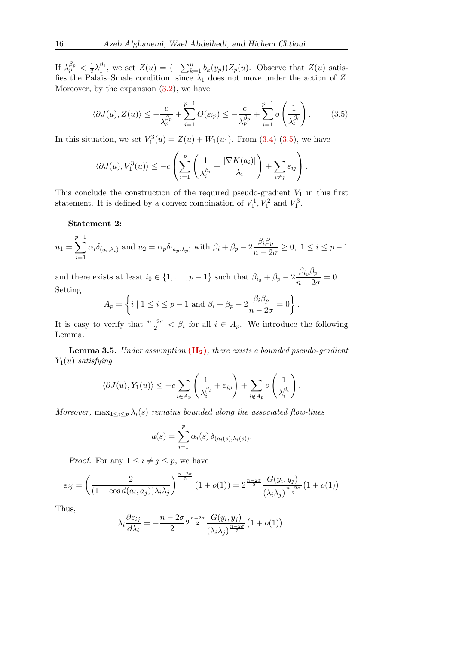If  $\lambda_p^{\beta_p} < \frac{1}{2}$  $\frac{1}{2}\lambda_1^{\beta_1}$ , we set  $Z(u) = (-\sum_{k=1}^n b_k(y_p))Z_p(u)$ . Observe that  $Z(u)$  satisfies the Palais–Smale condition, since  $\lambda_1$  does not move under the action of Z. Moreover, by the expansion  $(3.2)$ , we have

<span id="page-13-0"></span>
$$
\langle \partial J(u), Z(u) \rangle \le -\frac{c}{\lambda_p^{\beta_p}} + \sum_{i=1}^{p-1} O(\varepsilon_{ip}) \le -\frac{c}{\lambda_p^{\beta_p}} + \sum_{i=1}^{p-1} o\left(\frac{1}{\lambda_i^{\beta_i}}\right). \tag{3.5}
$$

In this situation, we set  $V_1^3(u) = Z(u) + W_1(u_1)$ . From [\(3.4\)](#page-12-0) [\(3.5\)](#page-13-0), we have

$$
\langle \partial J(u), V_1^3(u) \rangle \le -c \left( \sum_{i=1}^p \left( \frac{1}{\lambda_i^{\beta_i}} + \frac{|\nabla K(a_i)|}{\lambda_i} \right) + \sum_{i \neq j} \varepsilon_{ij} \right).
$$

This conclude the construction of the required pseudo-gradient  $V_1$  in this first statement. It is defined by a convex combination of  $V_1^1, V_1^2$  and  $V_1^3$ .

#### Statement 2:

$$
u_1 = \sum_{i=1}^{p-1} \alpha_i \delta_{(a_i, \lambda_i)} \text{ and } u_2 = \alpha_p \delta_{(a_p, \lambda_p)} \text{ with } \beta_i + \beta_p - 2 \frac{\beta_i \beta_p}{n - 2\sigma} \ge 0, \ 1 \le i \le p-1
$$

and there exists at least  $i_0 \in \{1, \ldots, p-1\}$  such that  $\beta_{i_0} + \beta_p - 2 \frac{\beta_{i_0} \beta_p}{n}$  $\frac{\rho_{i_0} \rho_p}{n - 2\sigma} = 0.$ Setting

$$
A_p = \left\{ i \mid 1 \le i \le p-1 \text{ and } \beta_i + \beta_p - 2\frac{\beta_i \beta_p}{n-2\sigma} = 0 \right\}.
$$

It is easy to verify that  $\frac{n-2\sigma}{2} < \beta_i$  for all  $i \in A_p$ . We introduce the following Lemma.

<span id="page-13-1"></span>**Lemma 3.5.** Under assumption  $(H_2)$  $(H_2)$ , there exists a bounded pseudo-gradient  $Y_1(u)$  satisfying

$$
\langle \partial J(u), Y_1(u) \rangle \le -c \sum_{i \in A_p} \left( \frac{1}{\lambda_i^{\beta_i}} + \varepsilon_{ip} \right) + \sum_{i \notin A_p} o\left( \frac{1}{\lambda_i^{\beta_i}} \right).
$$

Moreover,  $\max_{1 \leq i \leq p} \lambda_i(s)$  remains bounded along the associated flow-lines

$$
u(s) = \sum_{i=1}^{p} \alpha_i(s) \, \delta_{(a_i(s), \lambda_i(s))}.
$$

*Proof.* For any  $1 \leq i \neq j \leq p$ , we have

$$
\varepsilon_{ij} = \left(\frac{2}{(1 - \cos d(a_i, a_j))\lambda_i\lambda_j}\right)^{\frac{n-2\sigma}{2}} (1 + o(1)) = 2^{\frac{n-2\sigma}{2}} \frac{G(y_i, y_j)}{(\lambda_i\lambda_j)^{\frac{n-2\sigma}{2}}} (1 + o(1))
$$

Thus,

$$
\lambda_i \frac{\partial \varepsilon_{ij}}{\partial \lambda_i} = -\frac{n - 2\sigma}{2} 2^{\frac{n - 2\sigma}{2}} \frac{G(y_i, y_j)}{(\lambda_i \lambda_j)^{\frac{n - 2\sigma}{2}}} (1 + o(1)).
$$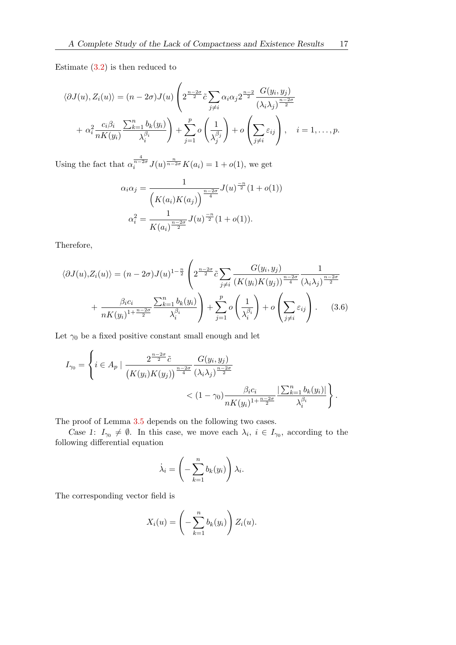Estimate  $(3.2)$  is then reduced to

$$
\langle \partial J(u), Z_i(u) \rangle = (n - 2\sigma) J(u) \left( 2^{\frac{n-2\sigma}{2}} \tilde{c} \sum_{j \neq i} \alpha_i \alpha_j 2^{\frac{n-2}{2}} \frac{G(y_i, y_j)}{(\lambda_i \lambda_j)^{\frac{n-2\sigma}{2}}} + \alpha_i^2 \frac{c_i \beta_i}{nK(y_i)} \frac{\sum_{k=1}^n b_k(y_i)}{\lambda_i^{\beta_i}} \right) + \sum_{j=1}^p o\left( \frac{1}{\lambda_j^{\beta_j}} \right) + o\left( \sum_{j \neq i} \varepsilon_{ij} \right), \quad i = 1, \dots, p.
$$

Using the fact that  $\alpha_i^{\frac{4}{n-2\sigma}} J(u)^{\frac{n}{n-2\sigma}} K(a_i) = 1 + o(1)$ , we get

$$
\alpha_i \alpha_j = \frac{1}{\left(K(a_i)K(a_j)\right)^{\frac{n-2\sigma}{4}}} J(u)^{\frac{-n}{2}} (1 + o(1))
$$

$$
\alpha_i^2 = \frac{1}{K(a_i)^{\frac{n-2\sigma}{2}}} J(u)^{\frac{-n}{2}} (1 + o(1)).
$$

Therefore,

$$
\langle \partial J(u), Z_i(u) \rangle = (n - 2\sigma) J(u)^{1 - \frac{n}{2}} \left( 2^{\frac{n - 2\sigma}{2}} \tilde{c} \sum_{j \neq i} \frac{G(y_i, y_j)}{(K(y_i)K(y_j))^{\frac{n - 2\sigma}{4}}} \frac{1}{(\lambda_i \lambda_j)^{\frac{n - 2\sigma}{2}}} + \frac{\beta_i c_i}{nK(y_i)^{1 + \frac{n - 2\sigma}{2}}} \sum_{k=1}^n b_k(y_i) + \sum_{j=1}^p o\left(\frac{1}{\lambda_i^{\beta_i}}\right) + o\left(\sum_{j \neq i} \varepsilon_{ij}\right).
$$
 (3.6)

Let  $\gamma_0$  be a fixed positive constant small enough and let

$$
I_{\gamma_0} = \left\{ i \in A_p \mid \frac{2^{\frac{n-2\sigma}{2}} \tilde{c}}{(K(y_i)K(y_j))^{\frac{n-2\sigma}{4}} (\lambda_i \lambda_j)^{\frac{n-2\sigma}{2}}} \times (1 - \gamma_0) \frac{\beta_i c_i}{n K(y_i)^{1 + \frac{n-2\sigma}{2}}} \frac{|\sum_{k=1}^n b_k(y_i)|}{\lambda_i^{\beta_i}} \right\}.
$$

The proof of Lemma [3.5](#page-13-1) depends on the following two cases.

Case 1:  $I_{\gamma_0} \neq \emptyset$ . In this case, we move each  $\lambda_i$ ,  $i \in I_{\gamma_0}$ , according to the following differential equation

<span id="page-14-0"></span>
$$
\dot{\lambda}_i = \left(-\sum_{k=1}^n b_k(y_i)\right)\lambda_i.
$$

The corresponding vector field is

$$
X_i(u) = \left(-\sum_{k=1}^n b_k(y_i)\right) Z_i(u).
$$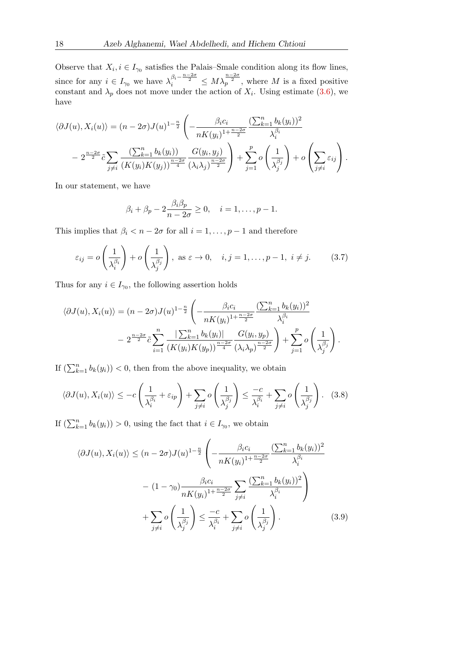Observe that  $X_i, i \in I_{\gamma_0}$  satisfies the Palais–Smale condition along its flow lines, since for any  $i \in I_{\gamma_0}$  we have  $\lambda_i^{\beta_i - \frac{n-2\sigma}{2}} \leq M \lambda_p^{\frac{n-2\sigma}{2}}$ , where M is a fixed positive constant and  $\lambda_p$  does not move under the action of  $X_i$ . Using estimate [\(3.6\)](#page-14-0), we have

$$
\langle \partial J(u), X_i(u) \rangle = (n - 2\sigma) J(u)^{1 - \frac{n}{2}} \left( -\frac{\beta_i c_i}{n K(y_i)^{1 + \frac{n - 2\sigma}{2}}} \frac{(\sum_{k=1}^n b_k(y_i))^2}{\lambda_i^{\beta_i}} - 2^{\frac{n - 2\sigma}{2}} \tilde{c} \sum_{j \neq i} \frac{(\sum_{k=1}^n b_k(y_i))^2}{(K(y_i)K(y_j))^{\frac{n - 2\sigma}{4}}} \frac{G(y_i, y_j)}{(\lambda_i \lambda_j)^{\frac{n - 2\sigma}{2}}} \right) + \sum_{j=1}^p o\left(\frac{1}{\lambda_j^{\beta_j}}\right) + o\left(\sum_{j \neq i} \varepsilon_{ij}\right).
$$

In our statement, we have

$$
\beta_i + \beta_p - 2 \frac{\beta_i \beta_p}{n - 2\sigma} \ge 0, \quad i = 1, \dots, p - 1.
$$

This implies that  $\beta_i < n - 2\sigma$  for all  $i = 1, \ldots, p - 1$  and therefore

<span id="page-15-2"></span>
$$
\varepsilon_{ij} = o\left(\frac{1}{\lambda_i^{\beta_i}}\right) + o\left(\frac{1}{\lambda_j^{\beta_j}}\right), \text{ as } \varepsilon \to 0, \quad i, j = 1, \dots, p-1, \ i \neq j. \tag{3.7}
$$

Thus for any  $i \in I_{\gamma_0}$ , the following assertion holds

$$
\langle \partial J(u), X_i(u) \rangle = (n - 2\sigma) J(u)^{1 - \frac{n}{2}} \left( -\frac{\beta_i c_i}{n K(y_i)^{1 + \frac{n - 2\sigma}{2}}} \frac{(\sum_{k=1}^n b_k(y_i))^2}{\lambda_i^{\beta_i}} - 2^{\frac{n - 2\sigma}{2}} \tilde{c} \sum_{i=1}^n \frac{|\sum_{k=1}^n b_k(y_i)|}{(K(y_i)K(y_p))^{\frac{n - 2\sigma}{4}}} \frac{G(y_i, y_p)}{(\lambda_i \lambda_p)^{\frac{n - 2\sigma}{2}}} \right) + \sum_{j=1}^p o\left(\frac{1}{\lambda_j^{\beta_j}}\right).
$$

If  $(\sum_{k=1}^n b_k(y_i)) < 0$ , then from the above inequality, we obtain

<span id="page-15-0"></span>
$$
\langle \partial J(u), X_i(u) \rangle \le -c \left( \frac{1}{\lambda_i^{\beta_i}} + \varepsilon_{ip} \right) + \sum_{j \neq i} o \left( \frac{1}{\lambda_j^{\beta_j}} \right) \le \frac{-c}{\lambda_i^{\beta_i}} + \sum_{j \neq i} o \left( \frac{1}{\lambda_j^{\beta_j}} \right). \tag{3.8}
$$

If  $(\sum_{k=1}^n b_k(y_i)) > 0$ , using the fact that  $i \in I_{\gamma_0}$ , we obtain

<span id="page-15-1"></span>
$$
\langle \partial J(u), X_i(u) \rangle \le (n - 2\sigma) J(u)^{1 - \frac{n}{2}} \left( -\frac{\beta_i c_i}{n K(y_i)^{1 + \frac{n - 2\sigma}{2}}} \frac{(\sum_{k=1}^n b_k(y_i))^2}{\lambda_i^{\beta_i}} - (1 - \gamma_0) \frac{\beta_i c_i}{n K(y_i)^{1 + \frac{n - 2\sigma}{2}}} \sum_{j \ne i} \frac{(\sum_{k=1}^n b_k(y_i))^2}{\lambda_i^{\beta_i}} \right) + \sum_{j \ne i} o\left(\frac{1}{\lambda_j^{\beta_j}}\right) \le \frac{-c}{\lambda_i^{\beta_i}} + \sum_{j \ne i} o\left(\frac{1}{\lambda_j^{\beta_j}}\right).
$$
 (3.9)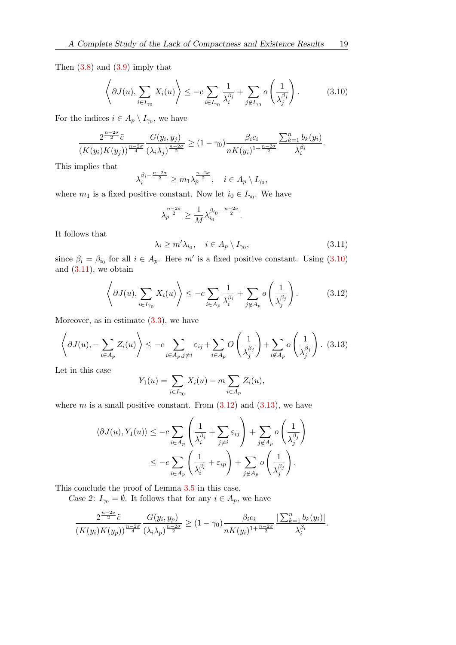Then  $(3.8)$  and  $(3.9)$  imply that

<span id="page-16-0"></span>
$$
\left\langle \partial J(u), \sum_{i \in I_{\gamma_0}} X_i(u) \right\rangle \le -c \sum_{i \in I_{\gamma_0}} \frac{1}{\lambda_i^{\beta_i}} + \sum_{j \notin I_{\gamma_0}} o\left(\frac{1}{\lambda_j^{\beta_j}}\right). \tag{3.10}
$$

For the indices  $i \in A_p \setminus I_{\gamma_0}$ , we have

$$
\frac{2^{\frac{n-2\sigma}{2}}\tilde{c}}{(K(y_i)K(y_j))^{\frac{n-2\sigma}{4}}}\frac{G(y_i,y_j)}{(\lambda_i\lambda_j)^{\frac{n-2\sigma}{2}}} \ge (1-\gamma_0)\frac{\beta_i c_i}{nK(y_i)^{1+\frac{n-2\sigma}{2}}}\frac{\sum_{k=1}^n b_k(y_i)}{\lambda_i^{\beta_i}}.
$$

This implies that

$$
\lambda_i^{\beta_i - \frac{n-2\sigma}{2}} \ge m_1 \lambda_p^{\frac{n-2\sigma}{2}}, \quad i \in A_p \setminus I_{\gamma_0},
$$

where  $m_1$  is a fixed positive constant. Now let  $i_0 \in I_{\gamma_0}$ . We have

$$
\lambda_p^{\frac{n-2\sigma}{2}} \ge \frac{1}{M} \lambda_{i_0}^{\beta_{i_0} - \frac{n-2\sigma}{2}}.
$$

It follows that

<span id="page-16-1"></span>
$$
\lambda_i \ge m' \lambda_{i_0}, \quad i \in A_p \setminus I_{\gamma_0}, \tag{3.11}
$$

since  $\beta_i = \beta_{i_0}$  for all  $i \in A_p$ . Here m' is a fixed positive constant. Using [\(3.10\)](#page-16-0) and  $(3.11)$ , we obtain

<span id="page-16-2"></span>
$$
\left\langle \partial J(u), \sum_{i \in I_{\gamma_0}} X_i(u) \right\rangle \le -c \sum_{i \in A_p} \frac{1}{\lambda_i^{\beta_i}} + \sum_{j \notin A_p} o\left(\frac{1}{\lambda_j^{\beta_j}}\right). \tag{3.12}
$$

Moreover, as in estimate  $(3.3)$ , we have

<span id="page-16-3"></span>
$$
\left\langle \partial J(u), -\sum_{i \in A_p} Z_i(u) \right\rangle \le -c \sum_{i \in A_p, j \neq i} \varepsilon_{ij} + \sum_{i \in A_p} O\left(\frac{1}{\lambda_j^{\beta_j}}\right) + \sum_{i \notin A_p} o\left(\frac{1}{\lambda_j^{\beta_j}}\right). \tag{3.13}
$$

Let in this case

$$
Y_1(u) = \sum_{i \in I_{\gamma_0}} X_i(u) - m \sum_{i \in A_p} Z_i(u),
$$

where  $m$  is a small positive constant. From  $(3.12)$  and  $(3.13)$ , we have

$$
\langle \partial J(u), Y_1(u) \rangle \le -c \sum_{i \in A_p} \left( \frac{1}{\lambda_i^{\beta_i}} + \sum_{j \neq i} \varepsilon_{ij} \right) + \sum_{j \notin A_p} o\left( \frac{1}{\lambda_j^{\beta_j}} \right)
$$
  

$$
\le -c \sum_{i \in A_p} \left( \frac{1}{\lambda_i^{\beta_i}} + \varepsilon_{ip} \right) + \sum_{j \notin A_p} o\left( \frac{1}{\lambda_j^{\beta_j}} \right).
$$

This conclude the proof of Lemma [3.5](#page-13-1) in this case.

Case 2:  $I_{\gamma 0} = \emptyset$ . It follows that for any  $i \in A_p$ , we have

$$
\frac{2^{\frac{n-2\sigma}{2}}\tilde{c}}{(K(y_i)K(y_p))^{\frac{n-2\sigma}{4}}}\frac{G(y_i,y_p)}{(\lambda_i\lambda_p)^{\frac{n-2\sigma}{2}}} \ge (1-\gamma_0)\frac{\beta_i c_i}{nK(y_i)^{1+\frac{n-2\sigma}{2}}}\frac{|\sum_{k=1}^n b_k(y_i)|}{\lambda_i^{\beta_i}}.
$$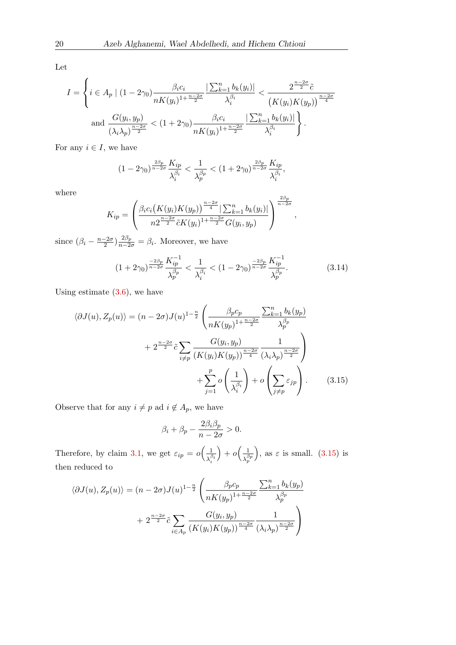Let

$$
I = \left\{ i \in A_p \mid (1 - 2\gamma_0) \frac{\beta_i c_i}{n K(y_i)^{1 + \frac{n - 2\sigma}{2}}} \frac{\left| \sum_{k=1}^n b_k(y_i) \right|}{\lambda_i^{\beta_i}} < \frac{2^{\frac{n - 2\sigma}{2}} \tilde{c}}{\left( K(y_i) K(y_p) \right)^{\frac{n - 2\sigma}{4}}} \right\}
$$
  
and 
$$
\frac{G(y_i, y_p)}{(\lambda_i \lambda_p)^{\frac{n - 2\sigma}{2}}} < (1 + 2\gamma_0) \frac{\beta_i c_i}{n K(y_i)^{1 + \frac{n - 2\sigma}{2}}} \frac{\left| \sum_{k=1}^n b_k(y_i) \right|}{\lambda_i^{\beta_i}} \right\}.
$$

For any  $i \in I$ , we have

$$
(1-2\gamma_0)^{\frac{2\beta_p}{n-2\sigma}}\frac{K_{ip}}{\lambda_i^{\beta_i}} < \frac{1}{\lambda_p^{\beta_p}} < (1+2\gamma_0)^{\frac{2\beta_p}{n-2\sigma}}\frac{K_{ip}}{\lambda_i^{\beta_i}},
$$

where

$$
K_{ip} = \left(\frac{\beta_i c_i (K(y_i)K(y_p))^{\frac{n-2\sigma}{4}} |\sum_{k=1}^n b_k(y_i)|}{n2^{\frac{n-2\sigma}{2}}\tilde{c}K(y_i)^{1+\frac{n-2\sigma}{2}}G(y_i, y_p)}\right)^{\frac{2\beta_p}{n-2\sigma}}
$$

since  $(\beta_i - \frac{n-2\sigma}{2})$  $(\frac{-2\sigma}{2})\frac{2\beta_p}{n-2\sigma} = \beta_i$ . Moreover, we have

<span id="page-17-1"></span>
$$
(1+2\gamma_0)^{\frac{-2\beta_p}{n-2\sigma}} \frac{K_{ip}^{-1}}{\lambda_p^{\beta_p}} < \frac{1}{\lambda_i^{\beta_i}} < (1-2\gamma_0)^{\frac{-2\beta_p}{n-2\sigma}} \frac{K_{ip}^{-1}}{\lambda_p^{\beta_p}}.\tag{3.14}
$$

<span id="page-17-0"></span>,

Using estimate  $(3.6)$ , we have

$$
\langle \partial J(u), Z_p(u) \rangle = (n - 2\sigma)J(u)^{1-\frac{n}{2}} \left( \frac{\beta_p c_p}{nK(y_p)^{1+\frac{n-2\sigma}{2}}} \frac{\sum_{k=1}^n b_k(y_p)}{\lambda_p^{\beta_p}} + 2^{\frac{n-2\sigma}{2}} \tilde{c} \sum_{i \neq p} \frac{G(y_i, y_p)}{(K(y_i)K(y_p))^{\frac{n-2\sigma}{4}}} \frac{1}{(\lambda_i \lambda_p)^{\frac{n-2\sigma}{2}}} \right) + \sum_{j=1}^p o\left(\frac{1}{\lambda_i^{\beta_i}}\right) + o\left(\sum_{j \neq p} \varepsilon_{jp}\right).
$$
 (3.15)

Observe that for any  $i\neq p$  ad  $i\not\in A_p,$  we have

$$
\beta_i + \beta_p - \frac{2\beta_i \beta_p}{n - 2\sigma} > 0.
$$

Therefore, by claim [3.1,](#page-9-0) we get  $\varepsilon_{ip} = o\left(\frac{1}{\sqrt{p}}\right)$  $\lambda_i^{\beta_i}$  $+ o\left(\frac{1}{\beta}\right)$  $\lambda_p^{\beta p}$ ), as  $\varepsilon$  is small. [\(3.15\)](#page-17-0) is then reduced to

$$
\langle \partial J(u), Z_p(u) \rangle = (n - 2\sigma)J(u)^{1-\frac{n}{2}} \left( \frac{\beta_p c_p}{nK(y_p)^{1+\frac{n-2\sigma}{2}}} \frac{\sum_{k=1}^n b_k(y_p)}{\lambda_p^{\beta_p}} + 2^{\frac{n-2\sigma}{2}} \tilde{c} \sum_{i \in A_p} \frac{G(y_i, y_p)}{(K(y_i)K(y_p))^{\frac{n-2\sigma}{4}}} \frac{1}{(\lambda_i \lambda_p)^{\frac{n-2\sigma}{2}}} \right)
$$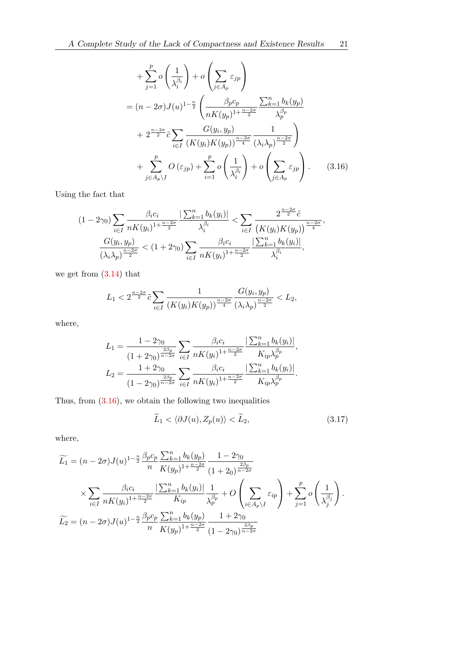<span id="page-18-0"></span>
$$
+\sum_{j=1}^{p} o\left(\frac{1}{\lambda_i^{\beta_i}}\right) + o\left(\sum_{j \in A_p} \varepsilon_{jp}\right)
$$
  
=  $(n - 2\sigma)J(u)^{1-\frac{n}{2}}\left(\frac{\beta_p c_p}{nK(y_p)^{1+\frac{n-2\sigma}{2}}}\frac{\sum_{k=1}^{n} b_k(y_p)}{\lambda_p^{\beta_p}} + 2^{\frac{n-2\sigma}{2}}\tilde{c}\sum_{i \in I} \frac{G(y_i, y_p)}{(K(y_i)K(y_p))^{\frac{n-2\sigma}{4}}}\frac{1}{(\lambda_i \lambda_p)^{\frac{n-2\sigma}{2}}}\right)$   
+ 
$$
\sum_{j \in A_p \setminus I}^{p} O\left(\varepsilon_{jp}\right) + \sum_{i=1}^{p} o\left(\frac{1}{\lambda_i^{\beta_i}}\right) + o\left(\sum_{j \in A_p} \varepsilon_{jp}\right).
$$
(3.16)

Using the fact that

$$
(1 - 2\gamma_0) \sum_{i \in I} \frac{\beta_i c_i}{n K(y_i)^{1 + \frac{n - 2\sigma}{2}}} \frac{\left| \sum_{k=1}^n b_k(y_i) \right|}{\lambda_i^{\beta_i}} < \sum_{i \in I} \frac{2^{\frac{n - 2\sigma}{2}} \tilde{c}}{\left( K(y_i) K(y_p) \right)^{\frac{n - 2\sigma}{4}}},
$$
\n
$$
\frac{G(y_i, y_p)}{(\lambda_i \lambda_p)^{\frac{n - 2\sigma}{2}}} < (1 + 2\gamma_0) \sum_{i \in I} \frac{\beta_i c_i}{n K(y_i)^{1 + \frac{n - 2\sigma}{2}}} \frac{\left| \sum_{k=1}^n b_k(y_i) \right|}{\lambda_i^{\beta_i}},
$$

we get from [\(3.14\)](#page-17-1) that

$$
L_1 < 2^{\frac{n-2\sigma}{2}} \tilde{c} \sum_{i \in I} \frac{1}{\left(K(y_i)K(y_p)\right)^{\frac{n-2\sigma}{4}}} \frac{G(y_i, y_p)}{\left(\lambda_i \lambda_p\right)^{\frac{n-2\sigma}{2}}} < L_2,
$$

where,

$$
L_1 = \frac{1 - 2\gamma_0}{(1 + 2\gamma_0)^{\frac{2\beta_p}{n - 2\sigma}}} \sum_{i \in I} \frac{\beta_i c_i}{n K(y_i)^{1 + \frac{n - 2\sigma}{2}}} \frac{\left| \sum_{k=1}^n b_k(y_i) \right|}{K_{ip} \lambda_p^{\beta_p}},
$$
  

$$
L_2 = \frac{1 + 2\gamma_0}{(1 - 2\gamma_0)^{\frac{2\beta_p}{n - 2\sigma}}} \sum_{i \in I} \frac{\beta_i c_i}{n K(y_i)^{1 + \frac{n - 2\sigma}{2}}} \frac{\left| \sum_{k=1}^n b_k(y_i) \right|}{K_{ip} \lambda_p^{\beta_p}}.
$$

Thus, from [\(3.16\)](#page-18-0), we obtain the following two inequalities

<span id="page-18-1"></span>
$$
\widetilde{L}_1 < \langle \partial J(u), Z_p(u) \rangle < \widetilde{L}_2,\tag{3.17}
$$

where,

$$
\widetilde{L}_{1} = (n - 2\sigma)J(u)^{1-\frac{n}{2}}\frac{\beta_{p}c_{p}}{n}\frac{\sum_{k=1}^{n}b_{k}(y_{p})}{K(y_{p})^{1+\frac{n-2\sigma}{2}}}\frac{1-2\gamma_{0}}{(1+2_{0})^{\frac{2\beta_{p}}{n-2\sigma}}}
$$
\n
$$
\times \sum_{i\in I} \frac{\beta_{i}c_{i}}{nK(y_{i})^{1+\frac{n-2\sigma}{2}}}\frac{|\sum_{k=1}^{n}b_{k}(y_{i})|}{K_{ip}}\frac{1}{\lambda_{p}^{\beta_{p}}} + O\left(\sum_{i\in A_{p}\backslash I}\varepsilon_{ip}\right) + \sum_{j=1}^{p}o\left(\frac{1}{\lambda_{j}^{\beta_{j}}}\right).
$$
\n
$$
\widetilde{L}_{2} = (n - 2\sigma)J(u)^{1-\frac{n}{2}}\frac{\beta_{p}c_{p}}{n}\frac{\sum_{k=1}^{n}b_{k}(y_{p})}{K(y_{p})^{1+\frac{n-2\sigma}{2}}}\frac{1+2\gamma_{0}}{(1-2\gamma_{0})^{\frac{2\beta_{p}}{n-2\sigma}}}
$$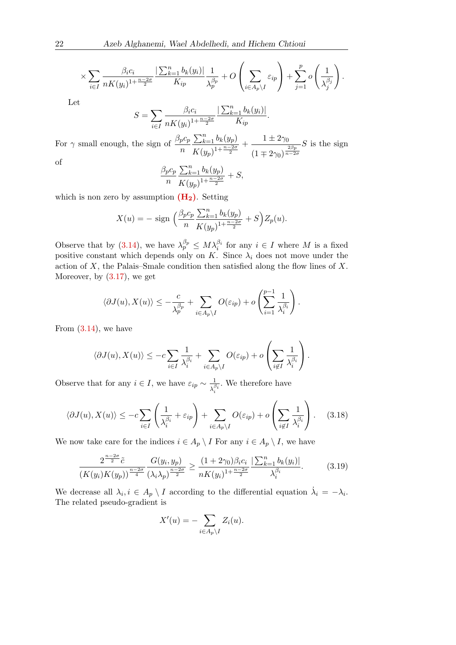$$
\times \sum_{i\in I} \frac{\beta_i c_i}{n K(y_i)^{1+\frac{n-2\sigma}{2}}} \frac{\left|\sum_{k=1}^n b_k(y_i)\right|}{K_{ip}} \frac{1}{\lambda_p^{\beta_p}} + O\left(\sum_{i\in A_p\setminus I} \varepsilon_{ip}\right) + \sum_{j=1}^p o\left(\frac{1}{\lambda_j^{\beta_j}}\right).
$$

Let

$$
S = \sum_{i \in I} \frac{\beta_i c_i}{n K(y_i)^{1 + \frac{n - 2\sigma}{2}}} \frac{|\sum_{k=1}^n b_k(y_i)|}{K_{ip}}.
$$

For  $\gamma$  small enough, the sign of  $\frac{\beta_p c_p}{n}$  $\sum_{k=1}^n b_k(y_p)$  $K(y_p)^{1+\frac{n-2\sigma}{2}}$  $+ - \frac{1 \pm 2\gamma_0}{2}$  $(1 \mp 2\gamma_0)^{\frac{2\beta_p}{n-2\sigma}}$  $S$  is the sign of

$$
\frac{\beta_p c_p}{n} \frac{\sum_{k=1}^n b_k(y_p)}{K(y_p)^{1 + \frac{n - 2\sigma}{2}}} + S,
$$

which is non zero by assumption  $(H_2)$  $(H_2)$ . Setting

$$
X(u) = - \text{ sign } \left( \frac{\beta_p c_p}{n} \frac{\sum_{k=1}^n b_k(y_p)}{K(y_p)^{1 + \frac{n - 2\sigma}{2}}} + S \right) Z_p(u).
$$

Observe that by [\(3.14\)](#page-17-1), we have  $\lambda_p^{\beta_p} \leq M \lambda_i^{\beta_i}$  for any  $i \in I$  where M is a fixed positive constant which depends only on K. Since  $\lambda_i$  does not move under the action of  $X$ , the Palais–Smale condition then satisfied along the flow lines of  $X$ . Moreover, by [\(3.17\)](#page-18-1), we get

$$
\langle \partial J(u), X(u) \rangle \le -\frac{c}{\lambda_p^{\beta_p}} + \sum_{i \in A_p \setminus I} O(\varepsilon_{ip}) + o\left(\sum_{i=1}^{p-1} \frac{1}{\lambda_i^{\beta_i}}\right).
$$

From  $(3.14)$ , we have

$$
\langle \partial J(u), X(u) \rangle \le -c \sum_{i \in I} \frac{1}{\lambda_i^{\beta_i}} + \sum_{i \in A_p \setminus I} O(\varepsilon_{ip}) + o\left(\sum_{i \notin I} \frac{1}{\lambda_i^{\beta_i}}\right).
$$

Observe that for any  $i \in I$ , we have  $\varepsilon_{ip} \sim \frac{1}{\sqrt{\varepsilon}}$  $\overline{\lambda_i^{\beta_i}}$ . We therefore have

<span id="page-19-1"></span>
$$
\langle \partial J(u), X(u) \rangle \le -c \sum_{i \in I} \left( \frac{1}{\lambda_i^{\beta_i}} + \varepsilon_{ip} \right) + \sum_{i \in A_p \setminus I} O(\varepsilon_{ip}) + o\left(\sum_{i \notin I} \frac{1}{\lambda_i^{\beta_i}}\right). \tag{3.18}
$$

We now take care for the indices  $i \in A_p \setminus I$  For any  $i \in A_p \setminus I$ , we have

<span id="page-19-0"></span>
$$
\frac{2^{\frac{n-2\sigma}{2}}\tilde{c}}{(K(y_i)K(y_p))^{\frac{n-2\sigma}{4}}}\frac{G(y_i, y_p)}{(\lambda_i \lambda_p)^{\frac{n-2\sigma}{2}}} \ge \frac{(1+2\gamma_0)\beta_i c_i}{nK(y_i)^{1+\frac{n-2\sigma}{2}}}\frac{\left|\sum_{k=1}^n b_k(y_i)\right|}{\lambda_i^{\beta_i}}.\tag{3.19}
$$

We decrease all  $\lambda_i, i \in A_p \setminus I$  according to the differential equation  $\dot{\lambda}_i = -\lambda_i$ . The related pseudo-gradient is

$$
X'(u) = -\sum_{i \in A_p \setminus I} Z_i(u).
$$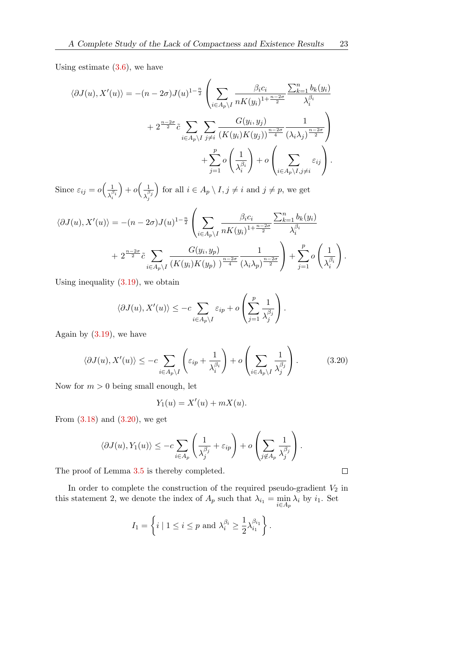Using estimate  $(3.6)$ , we have

$$
\langle \partial J(u), X'(u) \rangle = -(n - 2\sigma)J(u)^{1-\frac{n}{2}} \left( \sum_{i \in A_p \setminus I} \frac{\beta_i c_i}{n K(y_i)^{1+\frac{n-2\sigma}{2}}} \frac{\sum_{k=1}^n b_k(y_i)}{\lambda_i^{\beta_i}} + 2^{\frac{n-2\sigma}{2}} \tilde{c} \sum_{i \in A_p \setminus I} \sum_{j \neq i} \frac{G(y_i, y_j)}{(K(y_i)K(y_j))^{\frac{n-2\sigma}{4}}} \frac{1}{(\lambda_i \lambda_j)^{\frac{n-2\sigma}{2}}} \right) + \sum_{j=1}^p o\left(\frac{1}{\lambda_i^{\beta_i}}\right) + o\left(\sum_{i \in A_p \setminus I, j \neq i} \varepsilon_{ij}\right).
$$

Since  $\varepsilon_{ij} = o\left(\frac{1}{\sqrt{2}}\right)$  $\overline{\lambda_i^{\beta_i}}$  $+ o\left(\frac{1}{\beta}\right)$  $\overline{\lambda_j^{\beta_j}}$ for all  $i \in A_p \setminus I, j \neq i$  and  $j \neq p$ , we get

$$
\langle \partial J(u), X'(u) \rangle = -(n-2\sigma)J(u)^{1-\frac{n}{2}} \left( \sum_{i \in A_p \setminus I} \frac{\beta_i c_i}{n K(y_i)^{1+\frac{n-2\sigma}{2}}} \frac{\sum_{k=1}^n b_k(y_i)}{\lambda_i^{\beta_i}} + 2^{\frac{n-2\sigma}{2}} \tilde{c} \sum_{i \in A_p \setminus I} \frac{G(y_i, y_p)}{(K(y_i)K(y_p))^{\frac{n-2\sigma}{4}}} \frac{1}{(\lambda_i \lambda_p)^{\frac{n-2\sigma}{2}}} \right) + \sum_{j=1}^p o\left(\frac{1}{\lambda_i^{\beta_i}}\right).
$$

Using inequality [\(3.19\)](#page-19-0), we obtain

$$
\langle \partial J(u), X'(u) \rangle \le -c \sum_{i \in A_p \setminus I} \varepsilon_{ip} + o\left(\sum_{j=1}^p \frac{1}{\lambda_j^{\beta_j}}\right).
$$

Again by  $(3.19)$ , we have

<span id="page-20-0"></span>
$$
\langle \partial J(u), X'(u) \rangle \le -c \sum_{i \in A_p \setminus I} \left( \varepsilon_{ip} + \frac{1}{\lambda_i^{\beta_i}} \right) + o \left( \sum_{i \in A_p \setminus I} \frac{1}{\lambda_j^{\beta_j}} \right). \tag{3.20}
$$

Now for  $m > 0$  being small enough, let

$$
Y_1(u) = X'(u) + mX(u).
$$

From  $(3.18)$  and  $(3.20)$ , we get

$$
\langle \partial J(u), Y_1(u) \rangle \le -c \sum_{i \in A_p} \left( \frac{1}{\lambda_j^{\beta_j}} + \varepsilon_{ip} \right) + o \left( \sum_{j \notin A_p} \frac{1}{\lambda_j^{\beta_j}} \right).
$$

The proof of Lemma [3.5](#page-13-1) is thereby completed.

In order to complete the construction of the required pseudo-gradient  $V_2$  in this statement 2, we denote the index of  $A_p$  such that  $\lambda_{i_1} = \min_{i \in A_p} \lambda_i$  by  $i_1$ . Set

$$
I_1 = \left\{ i \mid 1 \le i \le p \text{ and } \lambda_i^{\beta_i} \ge \frac{1}{2} \lambda_{i_1}^{\beta_{i_1}} \right\}.
$$

 $\Box$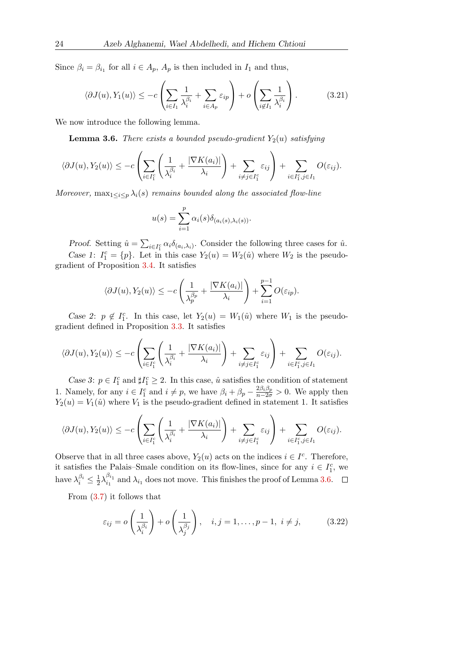Since  $\beta_i = \beta_{i_1}$  for all  $i \in A_p$ ,  $A_p$  is then included in  $I_1$  and thus,

<span id="page-21-1"></span>
$$
\langle \partial J(u), Y_1(u) \rangle \le -c \left( \sum_{i \in I_1} \frac{1}{\lambda_i^{\beta_i}} + \sum_{i \in A_p} \varepsilon_{ip} \right) + o \left( \sum_{i \notin I_1} \frac{1}{\lambda_i^{\beta_i}} \right). \tag{3.21}
$$

<span id="page-21-0"></span>We now introduce the following lemma.

**Lemma 3.6.** There exists a bounded pseudo-gradient  $Y_2(u)$  satisfying

$$
\langle \partial J(u), Y_2(u) \rangle \le -c \left( \sum_{i \in I_1^c} \left( \frac{1}{\lambda_i^{\beta_i}} + \frac{|\nabla K(a_i)|}{\lambda_i} \right) + \sum_{i \neq j \in I_1^c} \varepsilon_{ij} \right) + \sum_{i \in I_1^c, j \in I_1} O(\varepsilon_{ij}).
$$

Moreover,  $\max_{1 \leq i \leq p} \lambda_i(s)$  remains bounded along the associated flow-line

$$
u(s) = \sum_{i=1}^{p} \alpha_i(s) \delta_{(a_i(s), \lambda_i(s))}.
$$

Proof. Setting  $\hat{u} = \sum_{i \in I_1^c} \alpha_i \delta_{(a_i, \lambda_i)}$ . Consider the following three cases for  $\hat{u}$ . Case 1:  $I_1^c = \{p\}$ . Let in this case  $Y_2(u) = W_2(\hat{u})$  where  $W_2$  is the pseudogradient of Proposition [3.4.](#page-8-4) It satisfies

$$
\langle \partial J(u), Y_2(u) \rangle \le -c \left( \frac{1}{\lambda_p^{\beta_p}} + \frac{|\nabla K(a_i)|}{\lambda_i} \right) + \sum_{i=1}^{p-1} O(\varepsilon_{ip}).
$$

Case 2:  $p \notin I_1^c$ . In this case, let  $Y_2(u) = W_1(\hat{u})$  where  $W_1$  is the pseudogradient defined in Proposition [3.3.](#page-8-3) It satisfies

$$
\langle \partial J(u), Y_2(u) \rangle \le -c \left( \sum_{i \in I_1^c} \left( \frac{1}{\lambda_i^{\beta_i}} + \frac{|\nabla K(a_i)|}{\lambda_i} \right) + \sum_{i \neq j \in I_1^c} \varepsilon_{ij} \right) + \sum_{i \in I_1^c, j \in I_1} O(\varepsilon_{ij}).
$$

Case 3:  $p \in I_1^c$  and  $\sharp I_1^c \geq 2$ . In this case,  $\hat{u}$  satisfies the condition of statement 1. Namely, for any  $i \in I_1^c$  and  $i \neq p$ , we have  $\beta_i + \beta_p - \frac{2\beta_i \beta_p}{n - 2\sigma} > 0$ . We apply then  $Y_2(u) = V_1(\hat{u})$  where  $V_1$  is the pseudo-gradient defined in statement 1. It satisfies

$$
\langle \partial J(u), Y_2(u) \rangle \le -c \left( \sum_{i \in I_1^c} \left( \frac{1}{\lambda_i^{\beta_i}} + \frac{|\nabla K(a_i)|}{\lambda_i} \right) + \sum_{i \neq j \in I_1^c} \varepsilon_{ij} \right) + \sum_{i \in I_1^c, j \in I_1} O(\varepsilon_{ij}).
$$

Observe that in all three cases above,  $Y_2(u)$  acts on the indices  $i \in I^c$ . Therefore, it satisfies the Palais–Smale condition on its flow-lines, since for any  $i \in I_1^c$ , we have  $\lambda_i^{\beta_i} \leq \frac{1}{2}$  $\frac{1}{2}\lambda_{i_1}^{\beta_{i_1}}$  $\lambda_{i_1}$  and  $\lambda_{i_1}$  does not move. This finishes the proof of Lemma [3.6.](#page-21-0)

From [\(3.7\)](#page-15-2) it follows that

<span id="page-21-2"></span>
$$
\varepsilon_{ij} = o\left(\frac{1}{\lambda_i^{\beta_i}}\right) + o\left(\frac{1}{\lambda_j^{\beta_j}}\right), \quad i, j = 1, \dots, p-1, \ i \neq j,
$$
 (3.22)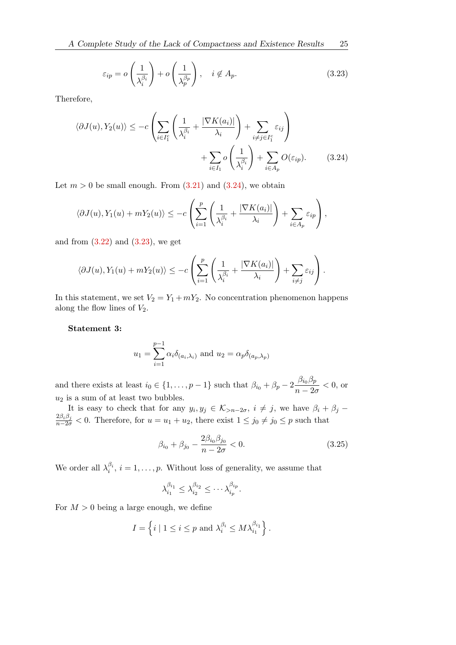<span id="page-22-1"></span><span id="page-22-0"></span>
$$
\varepsilon_{ip} = o\left(\frac{1}{\lambda_i^{\beta_i}}\right) + o\left(\frac{1}{\lambda_p^{\beta_p}}\right), \quad i \notin A_p.
$$
\n(3.23)

Therefore,

$$
\langle \partial J(u), Y_2(u) \rangle \le -c \left( \sum_{i \in I_1^c} \left( \frac{1}{\lambda_i^{\beta_i}} + \frac{|\nabla K(a_i)|}{\lambda_i} \right) + \sum_{i \neq j \in I_1^c} \varepsilon_{ij} \right) + \sum_{i \in I_1} o \left( \frac{1}{\lambda_i^{\beta_i}} \right) + \sum_{i \in A_p} O(\varepsilon_{ip}). \tag{3.24}
$$

Let  $m > 0$  be small enough. From  $(3.21)$  and  $(3.24)$ , we obtain

$$
\langle \partial J(u), Y_1(u) + mY_2(u) \rangle \le -c \left( \sum_{i=1}^p \left( \frac{1}{\lambda_i^{\beta_i}} + \frac{|\nabla K(a_i)|}{\lambda_i} \right) + \sum_{i \in A_p} \varepsilon_{ip} \right),
$$

and from  $(3.22)$  and  $(3.23)$ , we get

$$
\langle \partial J(u), Y_1(u) + mY_2(u) \rangle \le -c \left( \sum_{i=1}^p \left( \frac{1}{\lambda_i^{\beta_i}} + \frac{|\nabla K(a_i)|}{\lambda_i} \right) + \sum_{i \neq j} \varepsilon_{ij} \right).
$$

In this statement, we set  $V_2 = Y_1 + mY_2$ . No concentration phenomenon happens along the flow lines of  $V_2$ .

Statement 3:

$$
u_1 = \sum_{i=1}^{p-1} \alpha_i \delta_{(a_i,\lambda_i)}
$$
 and  $u_2 = \alpha_p \delta_{(a_p,\lambda_p)}$ 

and there exists at least  $i_0 \in \{1, \ldots, p-1\}$  such that  $\beta_{i_0} + \beta_p - 2 \frac{\beta_{i_0} \beta_p}{n}$  $\frac{\mu_{0}P}{n-2\sigma}$  < 0, or  $u_2$  is a sum of at least two bubbles.

It is easy to check that for any  $y_i, y_j \in \mathcal{K}_{>n-2\sigma}, i \neq j$ , we have  $\beta_i + \beta_j$  $\frac{2\beta_i\beta_j}{n-2\sigma} < 0$ . Therefore, for  $u = u_1 + u_2$ , there exist  $1 \le j_0 \ne j_0 \le p$  such that

<span id="page-22-2"></span>
$$
\beta_{i_0} + \beta_{j_0} - \frac{2\beta_{i_0}\beta_{j_0}}{n - 2\sigma} < 0. \tag{3.25}
$$

We order all  $\lambda_i^{\beta_i}$ ,  $i = 1, \ldots, p$ . Without loss of generality, we assume that

$$
\lambda_{i_1}^{\beta_{i_1}} \leq \lambda_{i_2}^{\beta_{i_2}} \leq \cdots \lambda_{i_p}^{\beta_{i_p}}.
$$

For  $M > 0$  being a large enough, we define

$$
I = \left\{ i \mid 1 \le i \le p \text{ and } \lambda_i^{\beta_i} \le M \lambda_{i_1}^{\beta_{i_1}} \right\}.
$$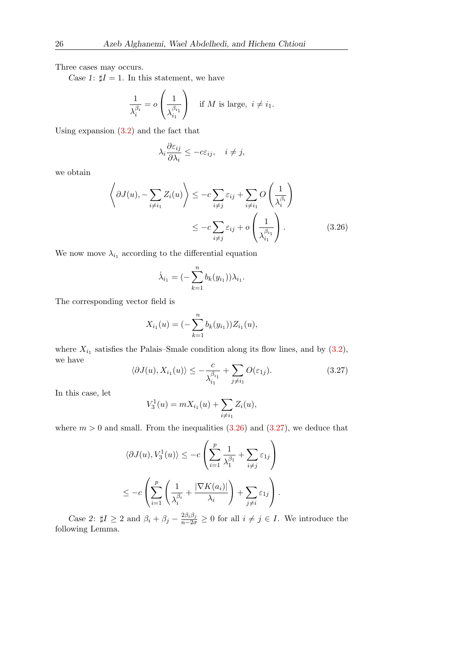Three cases may occurs.

Case 1:  $\sharp I = 1$ . In this statement, we have

$$
\frac{1}{\lambda_i^{\beta_i}} = o\left(\frac{1}{\lambda_{i_1}^{\beta_{i_1}}}\right) \quad \text{if } M \text{ is large, } i \neq i_1.
$$

Using expansion [\(3.2\)](#page-11-0) and the fact that

$$
\lambda_i \frac{\partial \varepsilon_{ij}}{\partial \lambda_i} \le -c\varepsilon_{ij}, \quad i \neq j,
$$

we obtain

$$
\left\langle \partial J(u), -\sum_{i \neq i_1} Z_i(u) \right\rangle \le -c \sum_{i \neq j} \varepsilon_{ij} + \sum_{i \neq i_1} O\left(\frac{1}{\lambda_i^{\beta_i}}\right)
$$
  
 
$$
\le -c \sum_{i \neq j} \varepsilon_{ij} + o\left(\frac{1}{\lambda_{i_1}^{\beta_{i_1}}}\right).
$$
 (3.26)

We now move  $\lambda_{i_1}$  according to the differential equation

<span id="page-23-0"></span>
$$
\dot{\lambda}_{i_1} = (-\sum_{k=1}^n b_k(y_{i_1})) \lambda_{i_1}.
$$

The corresponding vector field is

$$
X_{i_1}(u) = \left(-\sum_{k=1}^n b_k(y_{i_1})\right) Z_{i_1}(u),
$$

where  $X_{i_1}$  satisfies the Palais–Smale condition along its flow lines, and by  $(3.2)$ , we have

<span id="page-23-1"></span>
$$
\langle \partial J(u), X_{i_1}(u) \rangle \le -\frac{c}{\lambda_{i_1}^{\beta_{i_1}}} + \sum_{j \neq i_1} O(\varepsilon_{1j}). \tag{3.27}
$$

In this case, let

$$
V_3^1(u) = mX_{i_1}(u) + \sum_{i \neq i_1} Z_i(u),
$$

where  $m > 0$  and small. From the inequalities  $(3.26)$  and  $(3.27)$ , we deduce that

$$
\langle \partial J(u), V_3^1(u) \rangle \le -c \left( \sum_{i=1}^p \frac{1}{\lambda_1^{\beta_1}} + \sum_{i \neq j} \varepsilon_{1j} \right)
$$
  

$$
\le -c \left( \sum_{i=1}^p \left( \frac{1}{\lambda_i^{\beta_i}} + \frac{|\nabla K(a_i)|}{\lambda_i} \right) + \sum_{j \neq i} \varepsilon_{1j} \right).
$$

Case 2:  $\sharp I \geq 2$  and  $\beta_i + \beta_j - \frac{2\beta_i\beta_j}{n-2\sigma} \geq 0$  for all  $i \neq j \in I$ . We introduce the following Lemma.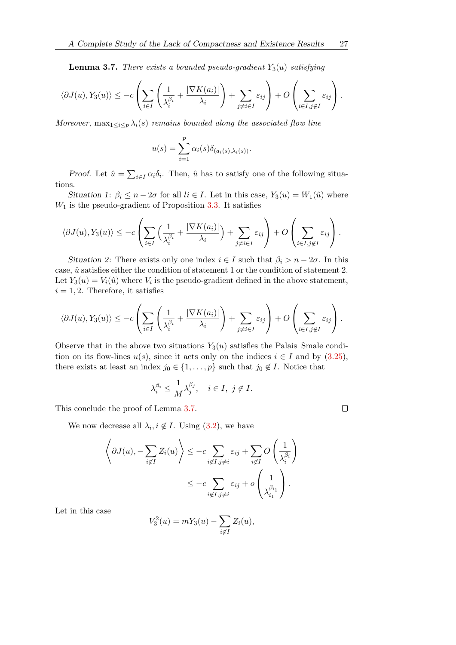<span id="page-24-0"></span>**Lemma 3.7.** There exists a bounded pseudo-gradient  $Y_3(u)$  satisfying

$$
\langle \partial J(u), Y_3(u) \rangle \le -c \left( \sum_{i \in I} \left( \frac{1}{\lambda_i^{\beta_i}} + \frac{|\nabla K(a_i)|}{\lambda_i} \right) + \sum_{j \neq i \in I} \varepsilon_{ij} \right) + O\left( \sum_{i \in I, j \notin I} \varepsilon_{ij} \right).
$$

Moreover,  $\max_{1 \leq i \leq p} \lambda_i(s)$  remains bounded along the associated flow line

$$
u(s) = \sum_{i=1}^{p} \alpha_i(s)\delta_{(a_i(s),\lambda_i(s))}.
$$

Proof. Let  $\hat{u} = \sum_{i \in I} \alpha_i \delta_i$ . Then,  $\hat{u}$  has to satisfy one of the following situations.

Situation 1:  $\beta_i \leq n - 2\sigma$  for all  $li \in I$ . Let in this case,  $Y_3(u) = W_1(\hat{u})$  where  $W_1$  is the pseudo-gradient of Proposition [3.3.](#page-8-3) It satisfies

$$
\langle \partial J(u), Y_3(u) \rangle \le -c \left( \sum_{i \in I} \left( \frac{1}{\lambda_i^{\beta_i}} + \frac{|\nabla K(a_i)|}{\lambda_i} \right) + \sum_{j \neq i \in I} \varepsilon_{ij} \right) + O\left( \sum_{i \in I, j \notin I} \varepsilon_{ij} \right).
$$

Situation 2: There exists only one index  $i \in I$  such that  $\beta_i > n - 2\sigma$ . In this case,  $\hat{u}$  satisfies either the condition of statement 1 or the condition of statement 2. Let  $Y_3(u) = V_i(\hat{u})$  where  $V_i$  is the pseudo-gradient defined in the above statement,  $i = 1, 2$ . Therefore, it satisfies

$$
\langle \partial J(u), Y_3(u) \rangle \le -c \left( \sum_{i \in I} \left( \frac{1}{\lambda_i^{\beta_i}} + \frac{|\nabla K(a_i)|}{\lambda_i} \right) + \sum_{j \neq i \in I} \varepsilon_{ij} \right) + O\left( \sum_{i \in I, j \notin I} \varepsilon_{ij} \right).
$$

Observe that in the above two situations  $Y_3(u)$  satisfies the Palais–Smale condition on its flow-lines  $u(s)$ , since it acts only on the indices  $i \in I$  and by  $(3.25)$ , there exists at least an index  $j_0 \in \{1, \ldots, p\}$  such that  $j_0 \notin I$ . Notice that

$$
\lambda_i^{\beta_i} \le \frac{1}{M} \lambda_j^{\beta_j}, \quad i \in I, \ j \notin I.
$$

This conclude the proof of Lemma [3.7.](#page-24-0)

We now decrease all  $\lambda_i, i \notin I$ . Using [\(3.2\)](#page-11-0), we have

$$
\left\langle \partial J(u), -\sum_{i \notin I} Z_i(u) \right\rangle \le -c \sum_{i \notin I, j \neq i} \varepsilon_{ij} + \sum_{i \notin I} O\left(\frac{1}{\lambda_i^{\beta_i}}\right)
$$

$$
\le -c \sum_{i \notin I, j \neq i} \varepsilon_{ij} + o\left(\frac{1}{\lambda_{i_1}^{\beta_{i_1}}}\right).
$$

Let in this case

$$
V_3^2(u) = mY_3(u) - \sum_{i \notin I} Z_i(u),
$$

 $\Box$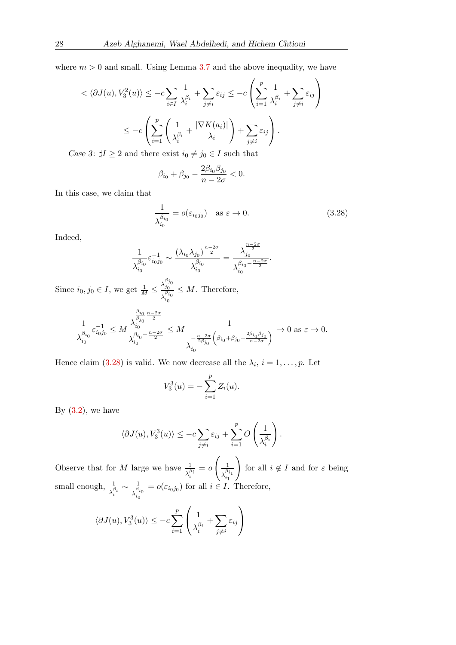where  $m > 0$  and small. Using Lemma [3.7](#page-24-0) and the above inequality, we have

$$
\langle \partial J(u), V_3^2(u) \rangle \le -c \sum_{i \in I} \frac{1}{\lambda_i^{\beta_i}} + \sum_{j \neq i} \varepsilon_{ij} \le -c \left( \sum_{i=1}^p \frac{1}{\lambda_i^{\beta_i}} + \sum_{j \neq i} \varepsilon_{ij} \right)
$$

$$
\le -c \left( \sum_{i=1}^p \left( \frac{1}{\lambda_i^{\beta_i}} + \frac{|\nabla K(a_i)|}{\lambda_i} \right) + \sum_{j \neq i} \varepsilon_{ij} \right).
$$

Case 3:  $\sharp I \geq 2$  and there exist  $i_0 \neq j_0 \in I$  such that

$$
\beta_{i_0}+\beta_{j_0}-\frac{2\beta_{i_0}\beta_{j_0}}{n-2\sigma}<0.
$$

In this case, we claim that

<span id="page-25-0"></span>
$$
\frac{1}{\lambda_{i_0}^{\beta_{i_0}}} = o(\varepsilon_{i_0 j_0}) \quad \text{as } \varepsilon \to 0.
$$
 (3.28)

Indeed,

$$
\frac{1}{\lambda_{i_0}^{\beta_{i_0}}}\varepsilon_{i_0j_0}^{-1} \sim \frac{(\lambda_{i_0}\lambda_{j_0})^{\frac{n-2\sigma}{2}}}{\lambda_{i_0}^{\beta_{i_0}}} = \frac{\lambda_{j_0}^{\frac{n-2\sigma}{2}}}{\lambda_{i_0}^{\beta_{i_0} - \frac{n-2\sigma}{2}}}.
$$

Since  $i_0, j_0 \in I$ , we get  $\frac{1}{M} \leq \frac{\lambda_{j_0}^{\beta_{j_0}}}{\lambda_{j_0}^{\beta_{j_0}}}$  $\lambda_{i_0}^{\beta_{i_0}}$  $\leq M$ . Therefore,

$$
\frac{1}{\lambda_{i_0}^{\beta_{i_0}}}\varepsilon_{i_0j_0}^{-1}\leq M\frac{\lambda_{i_0}^{\frac{\beta_{i_0}}{\beta_{j_0}}\frac{n-2\sigma}{2}}}{\lambda_{i_0}^{\beta_{i_0}-\frac{n-2\sigma}{2}}}\leq M\frac{1}{\lambda_{i_0}^{-\frac{n-2\sigma}{2\beta_{j_0}}\left(\beta_{i_0}+\beta_{j_0}-\frac{2\beta_{i_0}\beta_{j_0}}{n-2\sigma}\right)}}\to 0 \text{ as } \varepsilon\to 0.
$$

Hence claim [\(3.28\)](#page-25-0) is valid. We now decrease all the  $\lambda_i$ ,  $i = 1, \ldots, p$ . Let

$$
V_3^3(u) = -\sum_{i=1}^p Z_i(u).
$$

By  $(3.2)$ , we have

$$
\langle \partial J(u), V_3^3(u) \rangle \le -c \sum_{j \neq i} \varepsilon_{ij} + \sum_{i=1}^p O\left(\frac{1}{\lambda_i^{\beta_i}}\right).
$$

Observe that for M large we have  $\frac{1}{\lambda_i^{\beta_i}}$  $=$   $\sigma$  $\begin{pmatrix} 1 \end{pmatrix}$  $\overline{\lambda_{i_1}^{\beta_{i_1}}}$  $\setminus$ for all  $i \notin I$  and for  $\varepsilon$  being small enough,  $\frac{1}{\lambda_i^{\beta_i}}$  $\sim \frac{1}{\beta}$  $\lambda_{i_0}^{\beta_{i_0}}$  $= o(\varepsilon_{i_0 j_0})$  for all  $i \in I$ . Therefore,

$$
\langle \partial J(u), V_3^3(u) \rangle \le -c \sum_{i=1}^p \left( \frac{1}{\lambda_i^{\beta_i}} + \sum_{j \neq i} \varepsilon_{ij} \right)
$$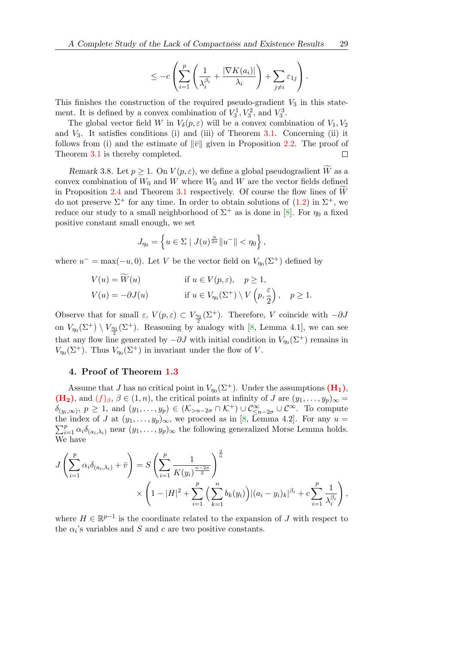$$
\leq -c \left( \sum_{i=1}^p \left( \frac{1}{\lambda_i^{\beta_i}} + \frac{|\nabla K(a_i)|}{\lambda_i} \right) + \sum_{j \neq i} \varepsilon_{1j} \right).
$$

This finishes the construction of the required pseudo-gradient  $V_3$  in this statement. It is defined by a convex combination of  $V_3^1, V_3^2$ , and  $V_3^3$ .

The global vector field W in  $V_{\delta}(p, \varepsilon)$  will be a convex combination of  $V_1, V_2$ and  $V_3$ . It satisfies conditions (i) and (iii) of Theorem [3.1.](#page-7-1) Concerning (ii) it follows from (i) and the estimate of  $\|\bar{v}\|$  given in Proposition [2.2.](#page-5-2) The proof of Theorem [3.1](#page-7-1) is thereby completed.  $\Box$ 

Remark 3.8. Let  $p \geq 1$ . On  $V(p, \varepsilon)$ , we define a global pseudogradient  $\widetilde{W}$  as a convex combination of  $W_0$  and W where  $W_0$  and W are the vector fields defined in Proposition [2.4](#page-6-0) and Theorem [3.1](#page-7-1) respectively. Of course the flow lines of  $W$ do not preserve  $\Sigma^+$  for any time. In order to obtain solutions of  $(1.2)$  in  $\Sigma^+$ , we reduce our study to a small neighborhood of  $\Sigma^+$  as is done in [\[8\]](#page-28-16). For  $\eta_0$  a fixed positive constant small enough, we set

$$
J_{\eta_0} = \left\{ u \in \Sigma \mid J(u)^{\frac{n}{2\sigma}} \|u^-\| < \eta_0 \right\},\,
$$

where  $u^- = \max(-u, 0)$ . Let V be the vector field on  $V_{\eta_0}(\Sigma^+)$  defined by

$$
V(u) = W(u) \qquad \text{if } u \in V(p, \varepsilon), \quad p \ge 1,
$$
  

$$
V(u) = -\partial J(u) \qquad \text{if } u \in V_{\eta_0}(\Sigma^+) \setminus V\left(p, \frac{\varepsilon}{2}\right), \quad p \ge 1.
$$

Observe that for small  $\varepsilon$ ,  $V(p, \varepsilon) \subset V_{\frac{\eta_0}{2}}(\Sigma^+)$ . Therefore, V coincide with  $-\partial J$ on  $V_{\eta_0}(\Sigma^+) \setminus V_{\frac{\eta_0}{2}}(\Sigma^+)$ . Reasoning by analogy with [\[8,](#page-28-16) Lemma 4.1], we can see that any flow line generated by  $-\partial J$  with initial condition in  $V_{\eta_0}(\Sigma^+)$  remains in  $V_{\eta_0}(\Sigma^+)$ . Thus  $V_{\eta_0}(\Sigma^+)$  in invariant under the flow of V.

# <span id="page-26-0"></span>4. Proof of Theorem [1.3](#page-4-1)

Assume that J has no critical point in  $V_{\eta_0}(\Sigma^+)$ . Under the assumptions  $(\mathbf{H}_1)$ ,  $(\mathbf{H_2})$  $(\mathbf{H_2})$  $(\mathbf{H_2})$ , and  $(f)_{\beta}, \beta \in (1, n)$ , the critical points at infinity of J are  $(y_1, \ldots, y_p)_{\infty} =$  $\delta_{(y_i,\infty)}, p \geq 1$ , and  $(y_1,\ldots,y_p) \in (\mathcal{K}_{\geq n-2\sigma} \cap \mathcal{K}^+) \cup \mathcal{C}^{\infty}_{\leq n-2\sigma} \cup \mathcal{C}^{\infty}$ . To compute the index of J at  $(y_1, \ldots, y_p)_{\infty}$ , we proceed as in [\[8,](#page-28-16) Lemma 4.2]. For any  $u =$  $\sum_{i=1}^p \alpha_i \delta_{(a_i,\lambda_i)}$  near  $(y_1,\ldots,y_p)_{\infty}$  the following generalized Morse Lemma holds. We have

$$
J\left(\sum_{i=1}^{p} \alpha_{i} \delta_{(a_{i},\lambda_{i})} + \bar{v}\right) = S\left(\sum_{i=1}^{p} \frac{1}{K(y_{i})^{\frac{n-2\sigma}{2}}}\right)^{\frac{2}{n}} \times \left(1 - |H|^{2} + \sum_{i=1}^{p} \left(\sum_{k=1}^{n} b_{k}(y_{i})\right) |(a_{i} - y_{i})_{k}|^{\beta_{i}} + c \sum_{i=1}^{p} \frac{1}{\lambda_{i}^{\beta_{i}}}\right),
$$

where  $H \in \mathbb{R}^{p-1}$  is the coordinate related to the expansion of J with respect to the  $\alpha_i$ 's variables and S and c are two positive constants.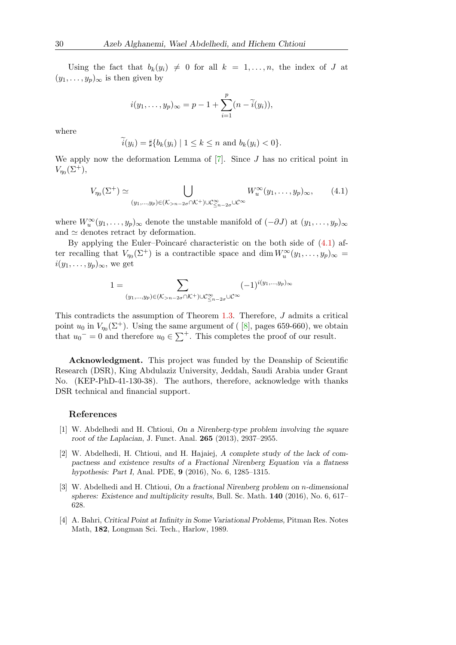Using the fact that  $b_k(y_i) \neq 0$  for all  $k = 1, \ldots, n$ , the index of J at  $(y_1, \ldots, y_p)_{\infty}$  is then given by

$$
i(y_1,\ldots,y_p)_{\infty}=p-1+\sum_{i=1}^p(n-\widetilde{i}(y_i)),
$$

where

$$
i(y_i) = \sharp\{b_k(y_i) \mid 1 \leq k \leq n \text{ and } b_k(y_i) < 0\}.
$$

We apply now the deformation Lemma of  $[7]$ . Since J has no critical point in  $V_{\eta_0}(\Sigma^+),$ 

<span id="page-27-4"></span>
$$
V_{\eta_0}(\Sigma^+) \simeq \bigcup_{(y_1,\ldots,y_p)\in(\mathcal{K}_{>n-2\sigma}\cap\mathcal{K}^+)\cup\mathcal{C}^{\infty}_{\leq n-2\sigma}\cup\mathcal{C}^{\infty}} W_u^{\infty}(y_1,\ldots,y_p)_{\infty},\qquad(4.1)
$$

where  $W_u^{\infty}(y_1,\ldots,y_p)_{\infty}$  denote the unstable manifold of  $(-\partial J)$  at  $(y_1,\ldots,y_p)_{\infty}$ and  $\simeq$  denotes retract by deformation.

By applying the Euler–Poincaré characteristic on the both side of  $(4.1)$  after recalling that  $V_{\eta_0}(\Sigma^+)$  is a contractible space and dim  $W_u^{\infty}(y_1,\ldots,y_p)_{\infty} =$  $i(y_1, \ldots, y_p)_{\infty}$ , we get

$$
1 = \sum_{(y_1,\ldots,y_p)\in(\mathcal{K}_{>n-2\sigma}\cap\mathcal{K}^+)\cup\mathcal{C}^\infty_{\leq n-2\sigma}\cup\mathcal{C}^\infty} (-1)^{i(y_1,\ldots,y_p)_\infty}
$$

This contradicts the assumption of Theorem [1.3.](#page-4-1) Therefore, J admits a critical point  $u_0$  in  $V_{\eta_0}(\Sigma^+)$ . Using the same argument of ([8], pages 659-660), we obtain that  $u_0$ <sup>-</sup> = 0 and therefore  $u_0 \in \sum^+$ . This completes the proof of our result.

Acknowledgment. This project was funded by the Deanship of Scientific Research (DSR), King Abdulaziz University, Jeddah, Saudi Arabia under Grant No. (KEP-PhD-41-130-38). The authors, therefore, acknowledge with thanks DSR technical and financial support.

#### References

- <span id="page-27-1"></span>[1] W. Abdelhedi and H. Chtioui, On a Nirenberg-type problem involving the square root of the Laplacian, J. Funct. Anal. 265 (2013), 2937–2955.
- <span id="page-27-0"></span>[2] W. Abdelhedi, H. Chtioui, and H. Hajaiej, A complete study of the lack of compactness and existence results of a Fractional Nirenberg Equation via a flatness hypothesis: Part I, Anal. PDE, 9 (2016), No. 6, 1285–1315.
- <span id="page-27-3"></span>[3] W. Abdelhedi and H. Chtioui, On a fractional Nirenberg problem on n-dimensional spheres: Existence and multiplicity results, Bull. Sc. Math. 140 (2016), No. 6, 617– 628.
- <span id="page-27-2"></span>[4] A. Bahri, Critical Point at Infinity in Some Variational Problems, Pitman Res. Notes Math, 182, Longman Sci. Tech., Harlow, 1989.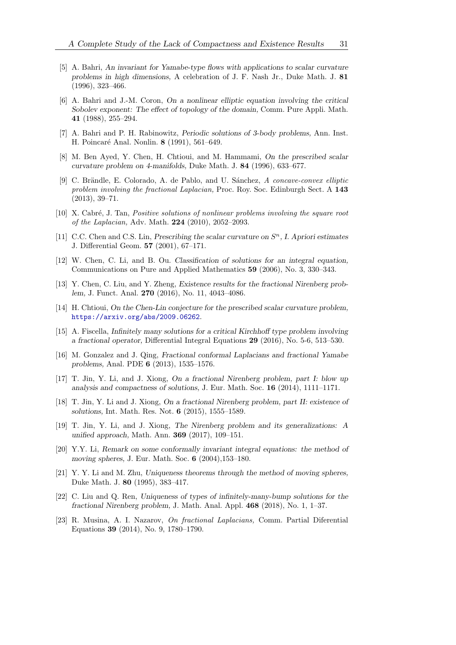- <span id="page-28-11"></span>[5] A. Bahri, An invariant for Yamabe-type flows with applications to scalar curvature problems in high dimensions, A celebration of J. F. Nash Jr., Duke Math. J. 81 (1996), 323–466.
- <span id="page-28-15"></span>[6] A. Bahri and J.-M. Coron, On a nonlinear elliptic equation involving the critical Sobolev exponent: The effect of topology of the domain, Comm. Pure Appli. Math. 41 (1988), 255–294.
- <span id="page-28-17"></span>[7] A. Bahri and P. H. Rabinowitz, Periodic solutions of 3-body problems, Ann. Inst. H. Poincaré Anal. Nonlin. 8 (1991), 561–649.
- <span id="page-28-16"></span>[8] M. Ben Ayed, Y. Chen, H. Chtioui, and M. Hammami, On the prescribed scalar curvature problem on 4-manifolds, Duke Math. J. 84 (1996), 633–677.
- <span id="page-28-2"></span>[9] C. Brändle, E. Colorado, A. de Pablo, and U. Sánchez, A concave-convex elliptic problem involving the fractional Laplacian, Proc. Roy. Soc. Edinburgh Sect. A 143 (2013), 39–71.
- <span id="page-28-3"></span>[10] X. Cabré, J. Tan, *Positive solutions of nonlinear problems involving the square root* of the Laplacian, Adv. Math. 224 (2010), 2052–2093.
- <span id="page-28-12"></span>[11] C.C. Chen and C.S. Lin, Prescribing the scalar curvature on  $S<sup>n</sup>$ , I. Apriori estimates J. Differential Geom. 57 (2001), 67–171.
- <span id="page-28-9"></span>[12] W. Chen, C. Li, and B. Ou. Classification of solutions for an integral equation, Communications on Pure and Applied Mathematics 59 (2006), No. 3, 330–343.
- <span id="page-28-8"></span>[13] Y. Chen, C. Liu, and Y. Zheng, Existence results for the fractional Nirenberg problem, J. Funct. Anal. 270 (2016), No. 11, 4043–4086.
- <span id="page-28-13"></span>[14] H. Chtioui, On the Chen-Lin conjecture for the prescribed scalar curvature problem, <https://arxiv.org/abs/2009.06262>.
- <span id="page-28-4"></span>[15] A. Fiscella, Infinitely many solutions for a critical Kirchhoff type problem involving a fractional operator, Differential Integral Equations 29 (2016), No. 5-6, 513–530.
- <span id="page-28-5"></span>[16] M. Gonzalez and J. Qing, Fractional conformal Laplacians and fractional Yamabe problems, Anal. PDE 6 (2013), 1535–1576.
- <span id="page-28-0"></span>[17] T. Jin, Y. Li, and J. Xiong, On a fractional Nirenberg problem, part I: blow up analysis and compactness of solutions, J. Eur. Math. Soc. 16 (2014), 1111–1171.
- <span id="page-28-1"></span>[18] T. Jin, Y. Li and J. Xiong, On a fractional Nirenberg problem, part II: existence of solutions, Int. Math. Res. Not. 6 (2015), 1555–1589.
- <span id="page-28-6"></span>[19] T. Jin, Y. Li, and J. Xiong, The Nirenberg problem and its generalizations: A unified approach, Math. Ann. 369 (2017), 109–151.
- <span id="page-28-10"></span>[20] Y.Y. Li, Remark on some conformally invariant integral equations: the method of moving spheres, J. Eur. Math. Soc. 6 (2004),153–180.
- <span id="page-28-14"></span>[21] Y. Y. Li and M. Zhu, Uniqueness theorems through the method of moving spheres, Duke Math. J. 80 (1995), 383–417.
- <span id="page-28-7"></span>[22] C. Liu and Q. Ren, Uniqueness of types of infinitely-many-bump solutions for the fractional Nirenberg problem, J. Math. Anal. Appl. 468 (2018), No. 1, 1–37.
- [23] R. Musina, A. I. Nazarov, On fractional Laplacians, Comm. Partial Diferential Equations 39 (2014), No. 9, 1780–1790.